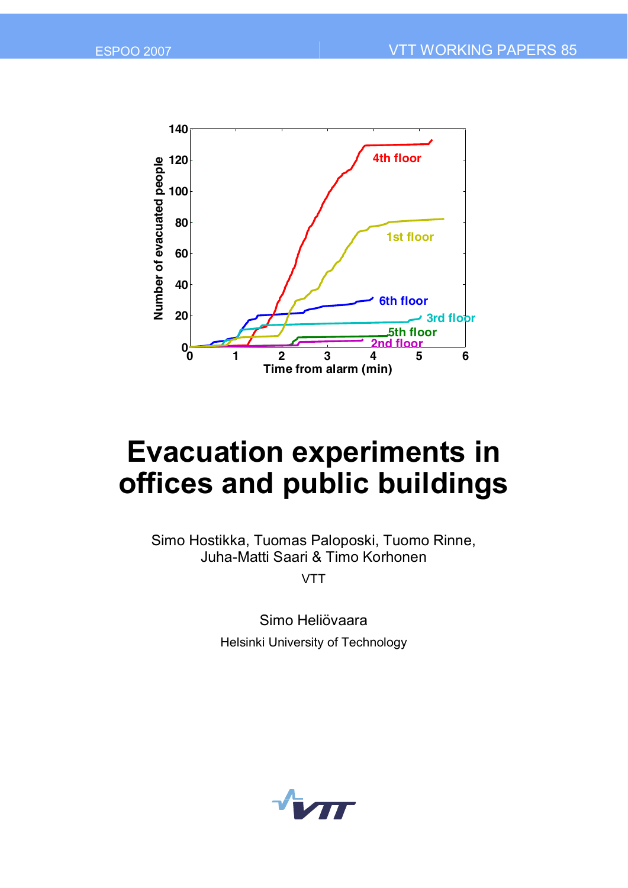

# **Evacuation experiments in offices and public buildings**

Simo Hostikka, Tuomas Paloposki, Tuomo Rinne, Juha-Matti Saari & Timo Korhonen

VTT

Simo Heliövaara Helsinki University of Technology

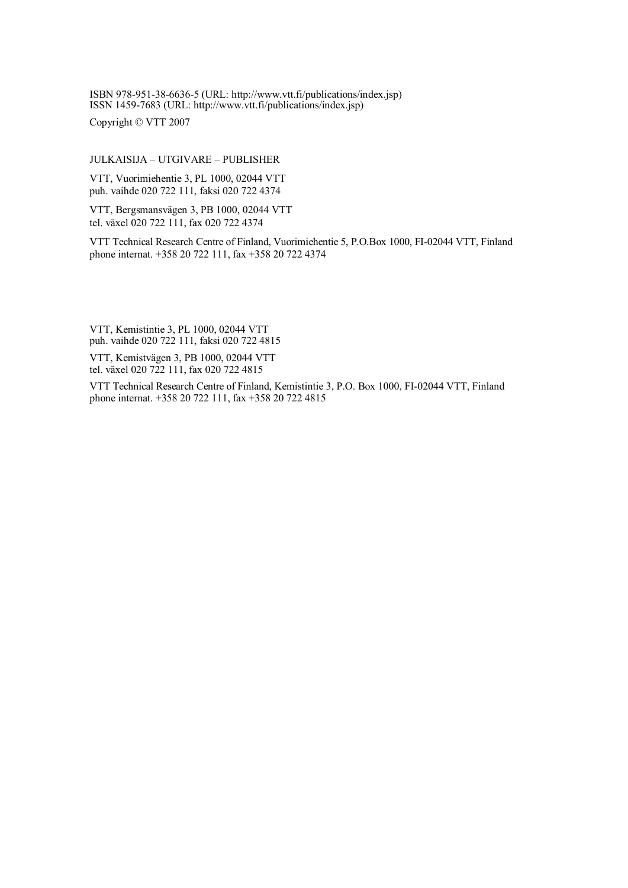ISBN 978-951-38-6636-5 (URL: [http://www.vtt.fi/publications/index.jsp\)](http://www.vtt.fi/publications/index.jsp) ISSN 1459-7683 (URL: [http://www.vtt.fi/publications/index.jsp\)](http://www.vtt.fi/publications/index.jsp)

Copyright © VTT 2007

#### JULKAISIJA – UTGIVARE – PUBLISHER

VTT, Vuorimiehentie 3, PL 1000, 02044 VTT puh. vaihde 020 722 111, faksi 020 722 4374

VTT, Bergsmansvägen 3, PB 1000, 02044 VTT tel. växel 020 722 111, fax 020 722 4374

VTT Technical Research Centre of Finland, Vuorimiehentie 5, P.O.Box 1000, FI-02044 VTT, Finland phone internat. +358 20 722 111, fax +358 20 722 4374

VTT, Kemistintie 3, PL 1000, 02044 VTT puh. vaihde 020 722 111, faksi 020 722 4815

VTT, Kemistvägen 3, PB 1000, 02044 VTT tel. växel 020 722 111, fax 020 722 4815

VTT Technical Research Centre of Finland, Kemistintie 3, P.O. Box 1000, FI-02044 VTT, Finland phone internat. +358 20 722 111, fax +358 20 722 4815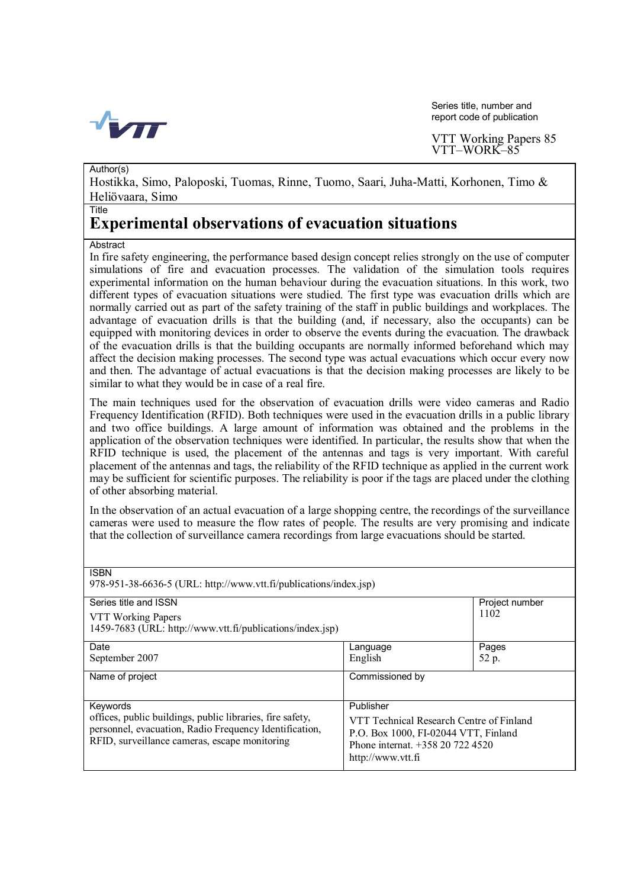

Series title, number and report code of publication

Author(s)

Hostikka, Simo, Paloposki, Tuomas, Rinne, Tuomo, Saari, Juha-Matti, Korhonen, Timo & Heliövaara, Simo

#### Title

### **Experimental observations of evacuation situations**

#### **Abstract**

In fire safety engineering, the performance based design concept relies strongly on the use of computer simulations of fire and evacuation processes. The validation of the simulation tools requires experimental information on the human behaviour during the evacuation situations. In this work, two different types of evacuation situations were studied. The first type was evacuation drills which are normally carried out as part of the safety training of the staff in public buildings and workplaces. The advantage of evacuation drills is that the building (and, if necessary, also the occupants) can be equipped with monitoring devices in order to observe the events during the evacuation. The drawback of the evacuation drills is that the building occupants are normally informed beforehand which may affect the decision making processes. The second type was actual evacuations which occur every now and then. The advantage of actual evacuations is that the decision making processes are likely to be similar to what they would be in case of a real fire.

The main techniques used for the observation of evacuation drills were video cameras and Radio Frequency Identification (RFID). Both techniques were used in the evacuation drills in a public library and two office buildings. A large amount of information was obtained and the problems in the application of the observation techniques were identified. In particular, the results show that when the RFID technique is used, the placement of the antennas and tags is very important. With careful placement of the antennas and tags, the reliability of the RFID technique as applied in the current work may be sufficient for scientific purposes. The reliability is poor if the tags are placed under the clothing of other absorbing material.

In the observation of an actual evacuation of a large shopping centre, the recordings of the surveillance cameras were used to measure the flow rates of people. The results are very promising and indicate that the collection of surveillance camera recordings from large evacuations should be started.

**ISBN** 978-951-38-6636-5 (URL:<http://www.vtt.fi/publications/index.jsp>) Series title and ISSN Project number VTT Working Papers 1459-7683 (URL: [http://www.vtt.fi/publications/index.jsp\)](http://www.vtt.fi/publications/index.jsp) 1102 Date **Date** Pages Pages Pages Pages Pages Pages Pages Pages Pages Pages Pages Pages September 2007 **English 52 p.** 52 p. Name of project Commissioned by Keywords Publisher offices, public buildings, public libraries, fire safety, personnel, evacuation, Radio Frequency Identification, RFID, surveillance cameras, escape monitoring VTT Technical Research Centre of Finland P.O. Box 1000, FI-02044 VTT, Finland Phone internat. +358 20 722 4520 <http://www.vtt.fi>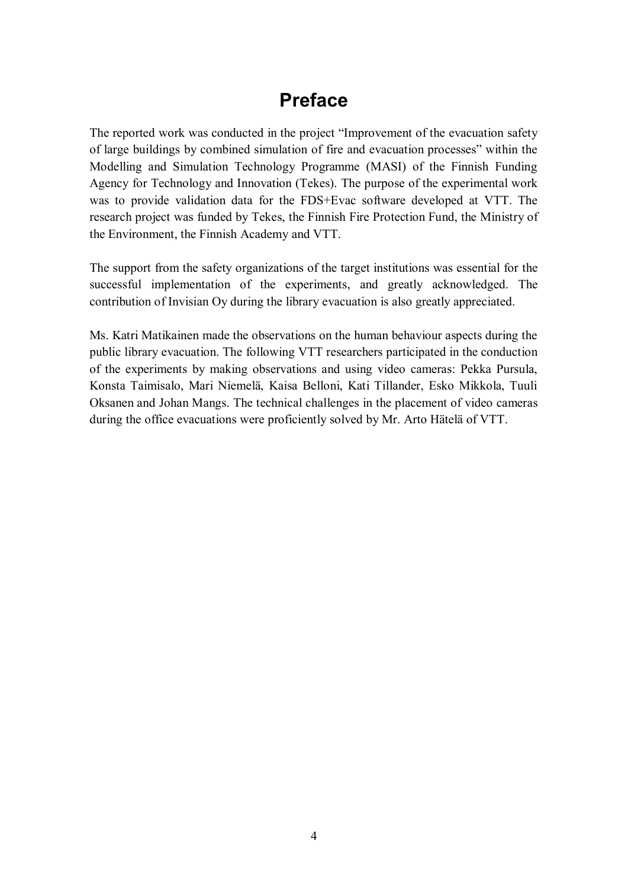## **Preface**

The reported work was conducted in the project "Improvement of the evacuation safety of large buildings by combined simulation of fire and evacuation processes" within the Modelling and Simulation Technology Programme (MASI) of the Finnish Funding Agency for Technology and Innovation (Tekes). The purpose of the experimental work was to provide validation data for the FDS+Evac software developed at VTT. The research project was funded by Tekes, the Finnish Fire Protection Fund, the Ministry of the Environment, the Finnish Academy and VTT.

The support from the safety organizations of the target institutions was essential for the successful implementation of the experiments, and greatly acknowledged. The contribution of Invisian Oy during the library evacuation is also greatly appreciated.

Ms. Katri Matikainen made the observations on the human behaviour aspects during the public library evacuation. The following VTT researchers participated in the conduction of the experiments by making observations and using video cameras: Pekka Pursula, Konsta Taimisalo, Mari Niemelä, Kaisa Belloni, Kati Tillander, Esko Mikkola, Tuuli Oksanen and Johan Mangs. The technical challenges in the placement of video cameras during the office evacuations were proficiently solved by Mr. Arto Hätelä of VTT.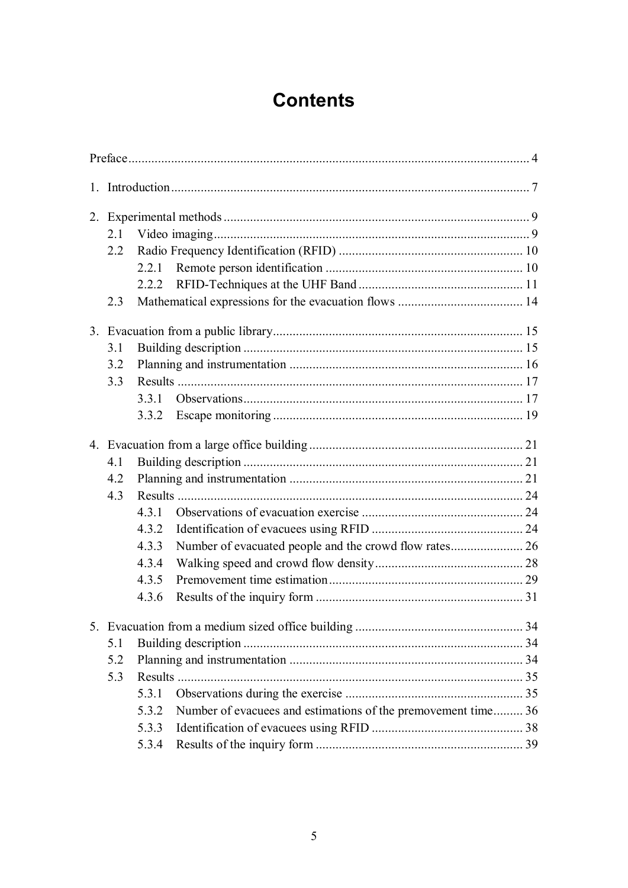## **Contents**

| 2.1 |       |                                                               |  |
|-----|-------|---------------------------------------------------------------|--|
| 2.2 |       |                                                               |  |
|     | 2.2.1 |                                                               |  |
|     | 2.2.2 |                                                               |  |
| 2.3 |       |                                                               |  |
|     |       |                                                               |  |
| 3.1 |       |                                                               |  |
| 3.2 |       |                                                               |  |
| 3.3 |       |                                                               |  |
|     | 3.3.1 |                                                               |  |
|     | 3.3.2 |                                                               |  |
|     |       |                                                               |  |
| 4.1 |       |                                                               |  |
| 4.2 |       |                                                               |  |
| 4.3 |       |                                                               |  |
|     | 4.3.1 |                                                               |  |
|     | 4.3.2 |                                                               |  |
|     | 4.3.3 |                                                               |  |
|     | 4.3.4 |                                                               |  |
|     | 4.3.5 |                                                               |  |
|     | 4.3.6 |                                                               |  |
|     |       |                                                               |  |
| 5.1 |       |                                                               |  |
| 5.2 |       |                                                               |  |
| 5.3 |       |                                                               |  |
|     | 5.3.1 |                                                               |  |
|     | 5.3.2 | Number of evacuees and estimations of the premovement time 36 |  |
|     | 5.3.3 |                                                               |  |
|     | 5.3.4 |                                                               |  |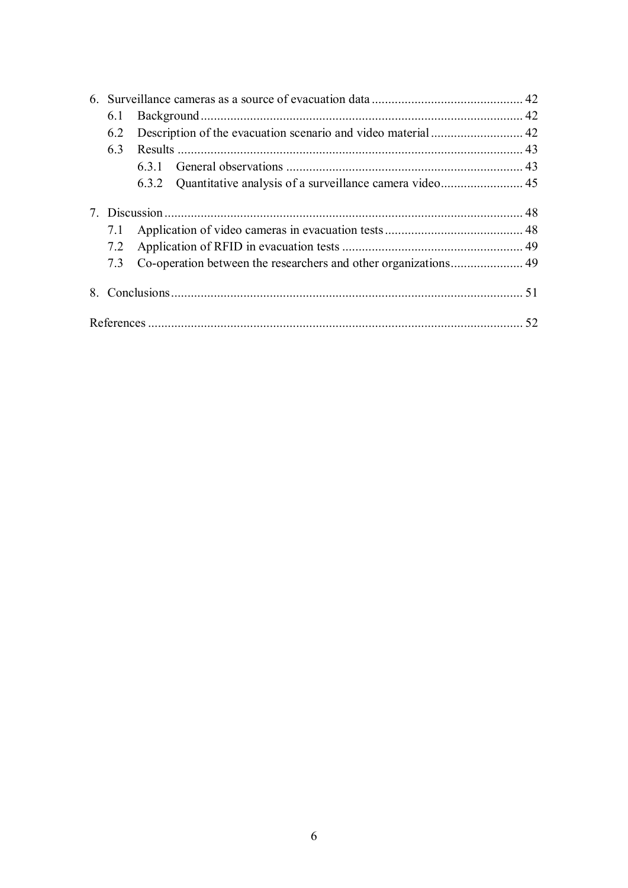| 6. |     |       |    |
|----|-----|-------|----|
|    | 6.1 |       |    |
|    | 6.2 |       |    |
|    | 63  |       |    |
|    |     | 631   |    |
|    |     | 6.3.2 |    |
|    |     |       |    |
|    |     |       |    |
|    | 7.1 |       |    |
|    | 7.2 |       |    |
|    | 7.3 |       |    |
|    |     |       |    |
|    |     |       |    |
|    |     |       |    |
|    |     |       | 52 |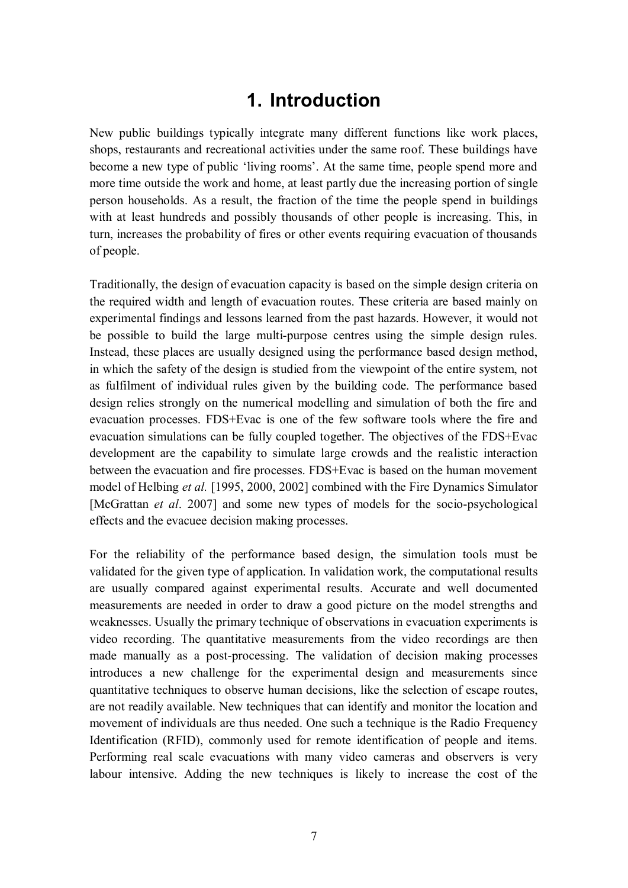## **1. Introduction**

New public buildings typically integrate many different functions like work places, shops, restaurants and recreational activities under the same roof. These buildings have become a new type of public 'living rooms'. At the same time, people spend more and more time outside the work and home, at least partly due the increasing portion of single person households. As a result, the fraction of the time the people spend in buildings with at least hundreds and possibly thousands of other people is increasing. This, in turn, increases the probability of fires or other events requiring evacuation of thousands of people.

Traditionally, the design of evacuation capacity is based on the simple design criteria on the required width and length of evacuation routes. These criteria are based mainly on experimental findings and lessons learned from the past hazards. However, it would not be possible to build the large multi-purpose centres using the simple design rules. Instead, these places are usually designed using the performance based design method, in which the safety of the design is studied from the viewpoint of the entire system, not as fulfilment of individual rules given by the building code. The performance based design relies strongly on the numerical modelling and simulation of both the fire and evacuation processes. FDS+Evac is one of the few software tools where the fire and evacuation simulations can be fully coupled together. The objectives of the FDS+Evac development are the capability to simulate large crowds and the realistic interaction between the evacuation and fire processes. FDS+Evac is based on the human movement model of Helbing *et al.* [1995, 2000, 2002] combined with the Fire Dynamics Simulator [McGrattan *et al*. 2007] and some new types of models for the socio-psychological effects and the evacuee decision making processes.

For the reliability of the performance based design, the simulation tools must be validated for the given type of application. In validation work, the computational results are usually compared against experimental results. Accurate and well documented measurements are needed in order to draw a good picture on the model strengths and weaknesses. Usually the primary technique of observations in evacuation experiments is video recording. The quantitative measurements from the video recordings are then made manually as a post-processing. The validation of decision making processes introduces a new challenge for the experimental design and measurements since quantitative techniques to observe human decisions, like the selection of escape routes, are not readily available. New techniques that can identify and monitor the location and movement of individuals are thus needed. One such a technique is the Radio Frequency Identification (RFID), commonly used for remote identification of people and items. Performing real scale evacuations with many video cameras and observers is very labour intensive. Adding the new techniques is likely to increase the cost of the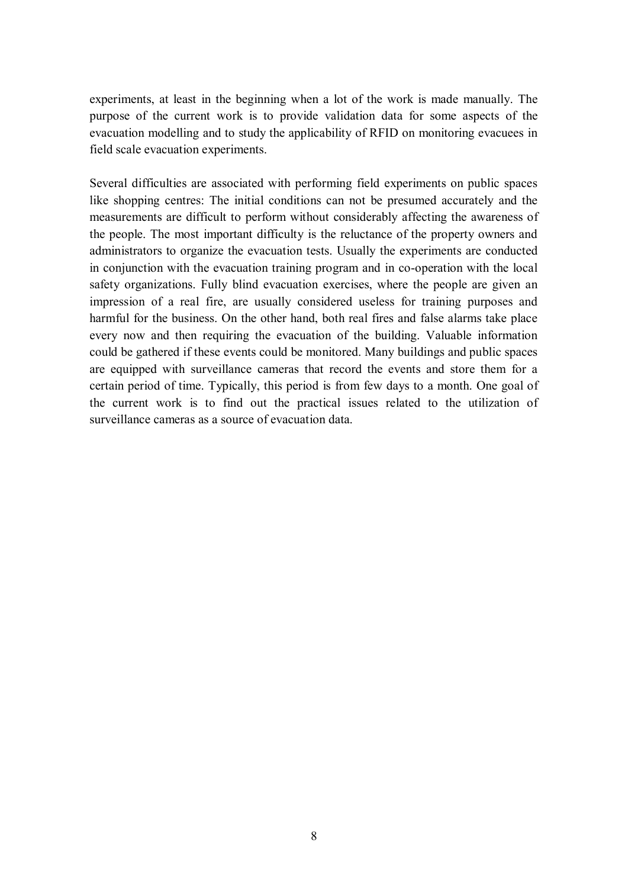experiments, at least in the beginning when a lot of the work is made manually. The purpose of the current work is to provide validation data for some aspects of the evacuation modelling and to study the applicability of RFID on monitoring evacuees in field scale evacuation experiments.

Several difficulties are associated with performing field experiments on public spaces like shopping centres: The initial conditions can not be presumed accurately and the measurements are difficult to perform without considerably affecting the awareness of the people. The most important difficulty is the reluctance of the property owners and administrators to organize the evacuation tests. Usually the experiments are conducted in conjunction with the evacuation training program and in co-operation with the local safety organizations. Fully blind evacuation exercises, where the people are given an impression of a real fire, are usually considered useless for training purposes and harmful for the business. On the other hand, both real fires and false alarms take place every now and then requiring the evacuation of the building. Valuable information could be gathered if these events could be monitored. Many buildings and public spaces are equipped with surveillance cameras that record the events and store them for a certain period of time. Typically, this period is from few days to a month. One goal of the current work is to find out the practical issues related to the utilization of surveillance cameras as a source of evacuation data.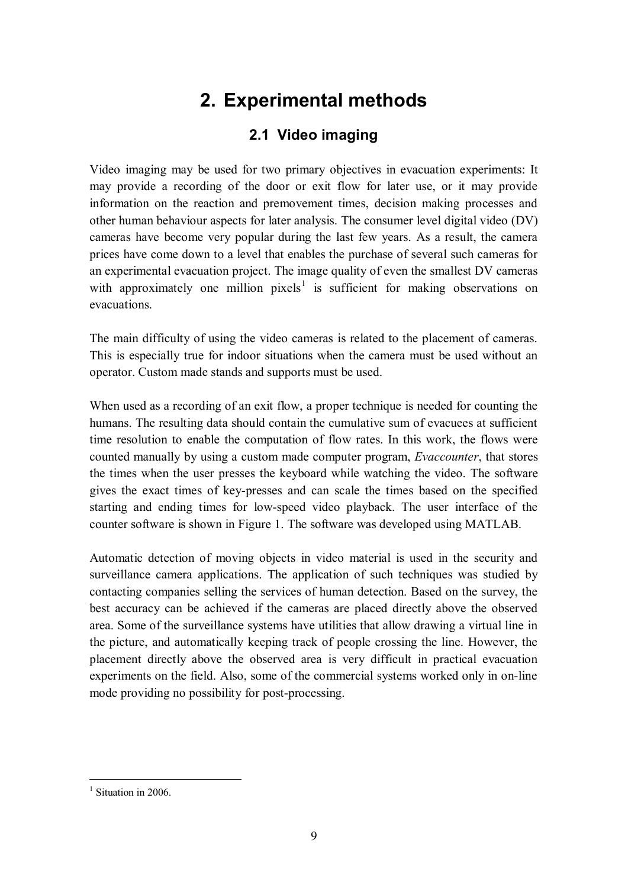## **2. Experimental methods**

## **2.1 Video imaging**

Video imaging may be used for two primary objectives in evacuation experiments: It may provide a recording of the door or exit flow for later use, or it may provide information on the reaction and premovement times, decision making processes and other human behaviour aspects for later analysis. The consumer level digital video (DV) cameras have become very popular during the last few years. As a result, the camera prices have come down to a level that enables the purchase of several such cameras for an experimental evacuation project. The image quality of even the smallest DV cameras with approximately one million pixels<sup>1</sup> is sufficient for making observations on evacuations.

The main difficulty of using the video cameras is related to the placement of cameras. This is especially true for indoor situations when the camera must be used without an operator. Custom made stands and supports must be used.

When used as a recording of an exit flow, a proper technique is needed for counting the humans. The resulting data should contain the cumulative sum of evacuees at sufficient time resolution to enable the computation of flow rates. In this work, the flows were counted manually by using a custom made computer program, *Evaccounter*, that stores the times when the user presses the keyboard while watching the video. The software gives the exact times of key-presses and can scale the times based on the specified starting and ending times for low-speed video playback. The user interface of the counter software is shown in Figure 1. The software was developed using MATLAB.

Automatic detection of moving objects in video material is used in the security and surveillance camera applications. The application of such techniques was studied by contacting companies selling the services of human detection. Based on the survey, the best accuracy can be achieved if the cameras are placed directly above the observed area. Some of the surveillance systems have utilities that allow drawing a virtual line in the picture, and automatically keeping track of people crossing the line. However, the placement directly above the observed area is very difficult in practical evacuation experiments on the field. Also, some of the commercial systems worked only in on-line mode providing no possibility for post-processing.

<sup>&</sup>lt;sup>1</sup> Situation in 2006.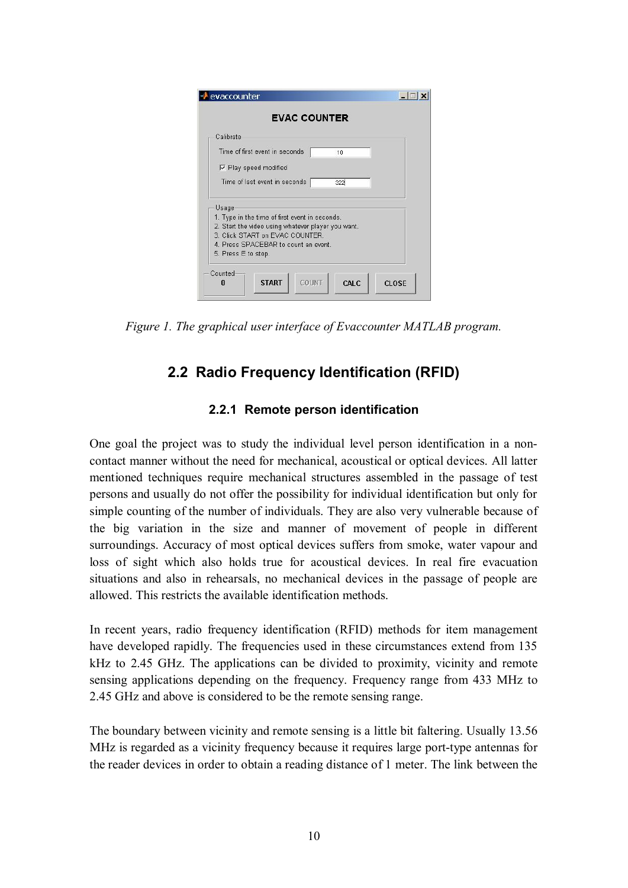| Calibrate                                                                                                                                                                                                       |     |  |
|-----------------------------------------------------------------------------------------------------------------------------------------------------------------------------------------------------------------|-----|--|
| Time of first event in seconds                                                                                                                                                                                  | 10  |  |
| <b>▽</b> Play speed modified                                                                                                                                                                                    |     |  |
| Time of last event in seconds                                                                                                                                                                                   | 322 |  |
| Usage<br>1. Type in the time of first event in seconds.<br>2. Start the video using whatever player you want.<br>3. Click START on EVAC COUNTER.<br>4. Press SPACEBAR to count an event.<br>5. Press E to stop. |     |  |

*Figure 1. The graphical user interface of Evaccounter MATLAB program.*

## **2.2 Radio Frequency Identification (RFID)**

### **2.2.1 Remote person identification**

One goal the project was to study the individual level person identification in a noncontact manner without the need for mechanical, acoustical or optical devices. All latter mentioned techniques require mechanical structures assembled in the passage of test persons and usually do not offer the possibility for individual identification but only for simple counting of the number of individuals. They are also very vulnerable because of the big variation in the size and manner of movement of people in different surroundings. Accuracy of most optical devices suffers from smoke, water vapour and loss of sight which also holds true for acoustical devices. In real fire evacuation situations and also in rehearsals, no mechanical devices in the passage of people are allowed. This restricts the available identification methods.

In recent years, radio frequency identification (RFID) methods for item management have developed rapidly. The frequencies used in these circumstances extend from 135 kHz to 2.45 GHz. The applications can be divided to proximity, vicinity and remote sensing applications depending on the frequency. Frequency range from 433 MHz to 2.45 GHz and above is considered to be the remote sensing range.

The boundary between vicinity and remote sensing is a little bit faltering. Usually 13.56 MHz is regarded as a vicinity frequency because it requires large port-type antennas for the reader devices in order to obtain a reading distance of 1 meter. The link between the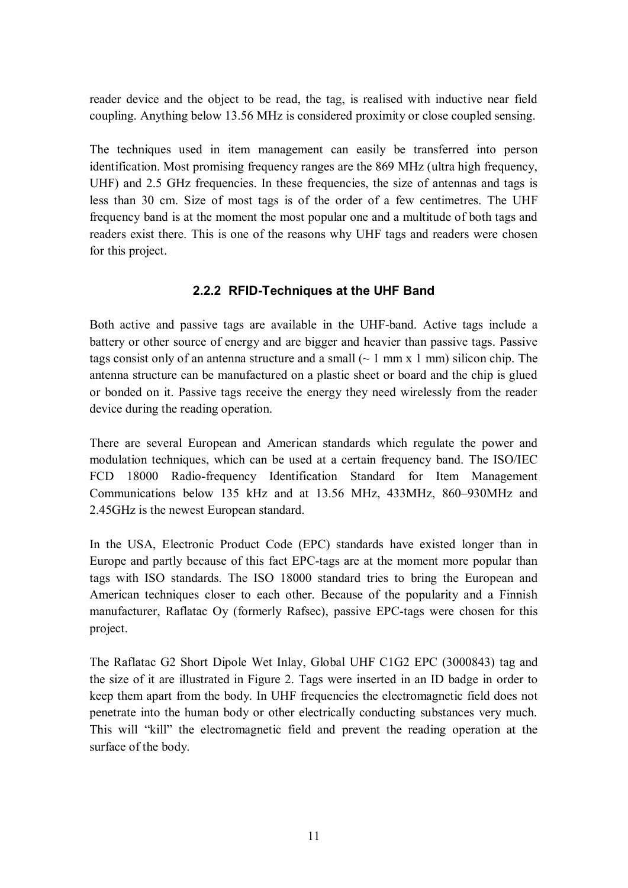reader device and the object to be read, the tag, is realised with inductive near field coupling. Anything below 13.56 MHz is considered proximity or close coupled sensing.

The techniques used in item management can easily be transferred into person identification. Most promising frequency ranges are the 869 MHz (ultra high frequency, UHF) and 2.5 GHz frequencies. In these frequencies, the size of antennas and tags is less than 30 cm. Size of most tags is of the order of a few centimetres. The UHF frequency band is at the moment the most popular one and a multitude of both tags and readers exist there. This is one of the reasons why UHF tags and readers were chosen for this project.

#### **2.2.2 RFID-Techniques at the UHF Band**

Both active and passive tags are available in the UHF-band. Active tags include a battery or other source of energy and are bigger and heavier than passive tags. Passive tags consist only of an antenna structure and a small  $(-1 \text{ mm } x 1 \text{ mm})$  silicon chip. The antenna structure can be manufactured on a plastic sheet or board and the chip is glued or bonded on it. Passive tags receive the energy they need wirelessly from the reader device during the reading operation.

There are several European and American standards which regulate the power and modulation techniques, which can be used at a certain frequency band. The ISO/IEC FCD 18000 Radio-frequency Identification Standard for Item Management Communications below 135 kHz and at 13.56 MHz, 433MHz, 860–930MHz and 2.45GHz is the newest European standard.

In the USA, Electronic Product Code (EPC) standards have existed longer than in Europe and partly because of this fact EPC-tags are at the moment more popular than tags with ISO standards. The ISO 18000 standard tries to bring the European and American techniques closer to each other. Because of the popularity and a Finnish manufacturer, Raflatac Oy (formerly Rafsec), passive EPC-tags were chosen for this project.

The Raflatac G2 Short Dipole Wet Inlay, Global UHF C1G2 EPC (3000843) tag and the size of it are illustrated in Figure 2. Tags were inserted in an ID badge in order to keep them apart from the body. In UHF frequencies the electromagnetic field does not penetrate into the human body or other electrically conducting substances very much. This will "kill" the electromagnetic field and prevent the reading operation at the surface of the body.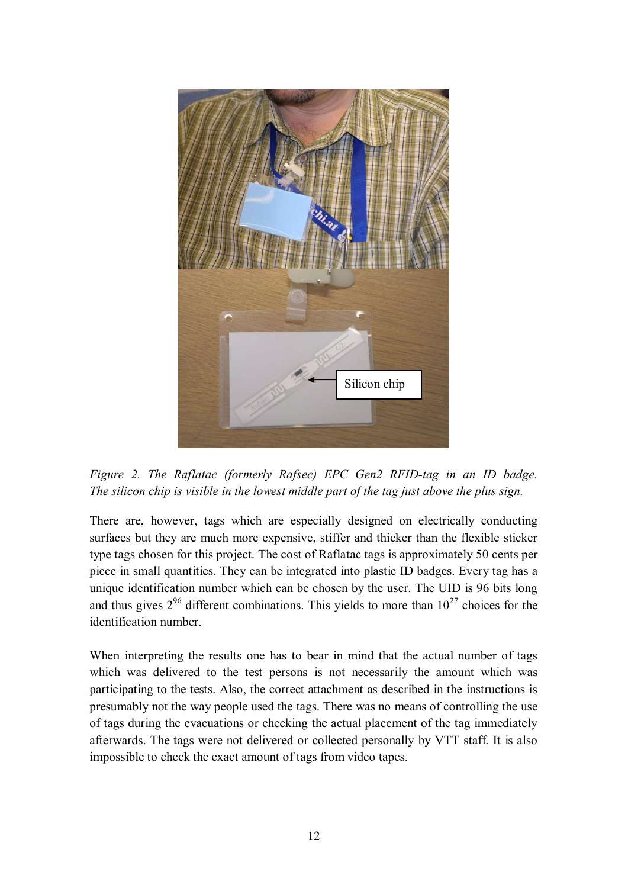

*Figure 2. The Raflatac (formerly Rafsec) EPC Gen2 RFID-tag in an ID badge. The silicon chip is visible in the lowest middle part of the tag just above the plus sign.*

There are, however, tags which are especially designed on electrically conducting surfaces but they are much more expensive, stiffer and thicker than the flexible sticker type tags chosen for this project. The cost of Raflatac tags is approximately 50 cents per piece in small quantities. They can be integrated into plastic ID badges. Every tag has a unique identification number which can be chosen by the user. The UID is 96 bits long and thus gives  $2^{96}$  different combinations. This yields to more than  $10^{27}$  choices for the identification number.

When interpreting the results one has to bear in mind that the actual number of tags which was delivered to the test persons is not necessarily the amount which was participating to the tests. Also, the correct attachment as described in the instructions is presumably not the way people used the tags. There was no means of controlling the use of tags during the evacuations or checking the actual placement of the tag immediately afterwards. The tags were not delivered or collected personally by VTT staff. It is also impossible to check the exact amount of tags from video tapes.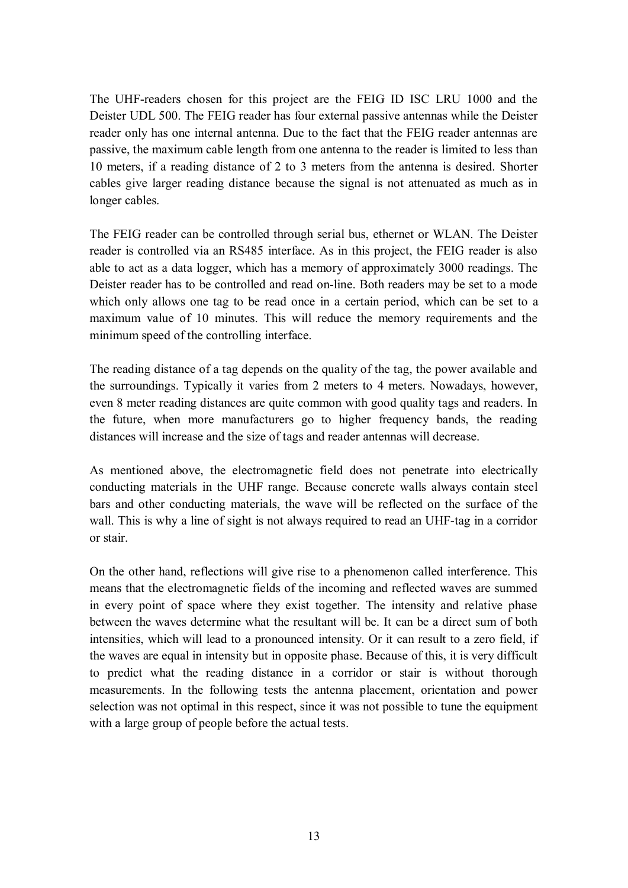The UHF-readers chosen for this project are the FEIG ID ISC LRU 1000 and the Deister UDL 500. The FEIG reader has four external passive antennas while the Deister reader only has one internal antenna. Due to the fact that the FEIG reader antennas are passive, the maximum cable length from one antenna to the reader is limited to less than 10 meters, if a reading distance of 2 to 3 meters from the antenna is desired. Shorter cables give larger reading distance because the signal is not attenuated as much as in longer cables.

The FEIG reader can be controlled through serial bus, ethernet or WLAN. The Deister reader is controlled via an RS485 interface. As in this project, the FEIG reader is also able to act as a data logger, which has a memory of approximately 3000 readings. The Deister reader has to be controlled and read on-line. Both readers may be set to a mode which only allows one tag to be read once in a certain period, which can be set to a maximum value of 10 minutes. This will reduce the memory requirements and the minimum speed of the controlling interface.

The reading distance of a tag depends on the quality of the tag, the power available and the surroundings. Typically it varies from 2 meters to 4 meters. Nowadays, however, even 8 meter reading distances are quite common with good quality tags and readers. In the future, when more manufacturers go to higher frequency bands, the reading distances will increase and the size of tags and reader antennas will decrease.

As mentioned above, the electromagnetic field does not penetrate into electrically conducting materials in the UHF range. Because concrete walls always contain steel bars and other conducting materials, the wave will be reflected on the surface of the wall. This is why a line of sight is not always required to read an UHF-tag in a corridor or stair.

On the other hand, reflections will give rise to a phenomenon called interference. This means that the electromagnetic fields of the incoming and reflected waves are summed in every point of space where they exist together. The intensity and relative phase between the waves determine what the resultant will be. It can be a direct sum of both intensities, which will lead to a pronounced intensity. Or it can result to a zero field, if the waves are equal in intensity but in opposite phase. Because of this, it is very difficult to predict what the reading distance in a corridor or stair is without thorough measurements. In the following tests the antenna placement, orientation and power selection was not optimal in this respect, since it was not possible to tune the equipment with a large group of people before the actual tests.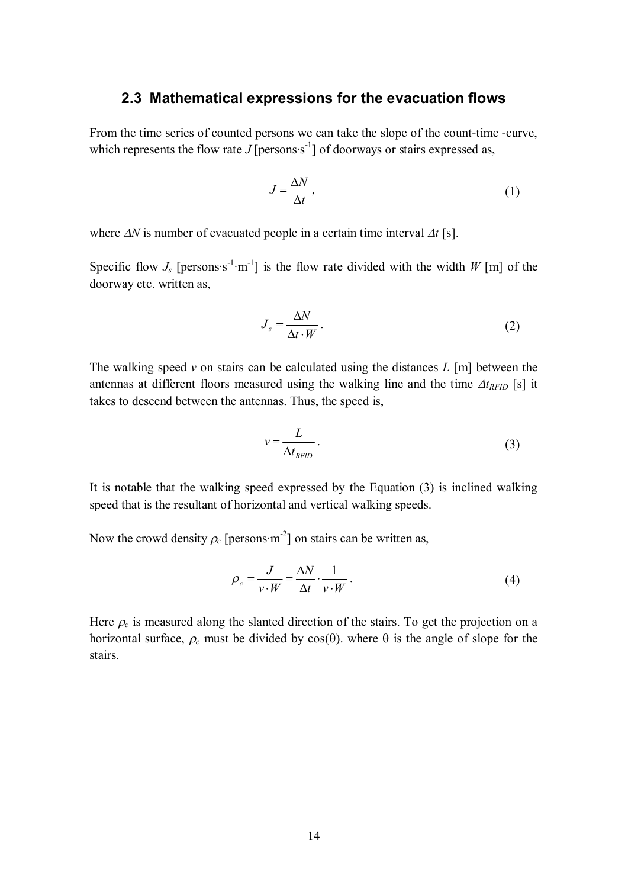#### **2.3 Mathematical expressions for the evacuation flows**

From the time series of counted persons we can take the slope of the count-time -curve, which represents the flow rate *J* [persons $s^{-1}$ ] of doorways or stairs expressed as,

$$
J = \frac{\Delta N}{\Delta t},\tag{1}
$$

where  $\Delta N$  is number of evacuated people in a certain time interval  $\Delta t$  [s].

Specific flow  $J_s$  [persons s<sup>-1</sup>·m<sup>-1</sup>] is the flow rate divided with the width *W* [m] of the doorway etc. written as,

$$
J_s = \frac{\Delta N}{\Delta t \cdot W} \,. \tag{2}
$$

The walking speed *v* on stairs can be calculated using the distances *L* [m] between the antennas at different floors measured using the walking line and the time  $\Delta t_{RFID}$  [s] it takes to descend between the antennas. Thus, the speed is,

$$
v = \frac{L}{\Delta t_{RFID}}.\tag{3}
$$

It is notable that the walking speed expressed by the Equation (3) is inclined walking speed that is the resultant of horizontal and vertical walking speeds.

Now the crowd density  $\rho_c$  [persons·m<sup>-2</sup>] on stairs can be written as,

$$
\rho_c = \frac{J}{v \cdot W} = \frac{\Delta N}{\Delta t} \cdot \frac{1}{v \cdot W} \,. \tag{4}
$$

Here  $\rho_c$  is measured along the slanted direction of the stairs. To get the projection on a horizontal surface,  $\rho_c$  must be divided by  $cos(\theta)$ . where  $\theta$  is the angle of slope for the stairs.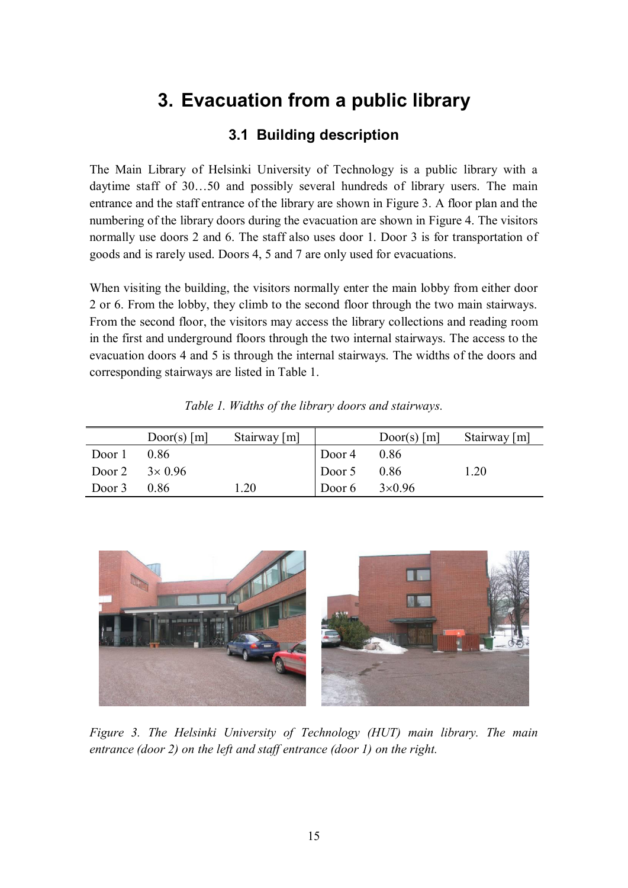## **3. Evacuation from a public library**

### **3.1 Building description**

The Main Library of Helsinki University of Technology is a public library with a daytime staff of 30… 50 and possibly several hundreds of library users. The main entrance and the staff entrance of the library are shown in Figure 3. A floor plan and the numbering of the library doors during the evacuation are shown in Figure 4. The visitors normally use doors 2 and 6. The staff also uses door 1. Door 3 is for transportation of goods and is rarely used. Doors 4, 5 and 7 are only used for evacuations.

When visiting the building, the visitors normally enter the main lobby from either door 2 or 6. From the lobby, they climb to the second floor through the two main stairways. From the second floor, the visitors may access the library collections and reading room in the first and underground floors through the two internal stairways. The access to the evacuation doors 4 and 5 is through the internal stairways. The widths of the doors and corresponding stairways are listed in Table 1.

|                        | $Door(s)$ [m] | Stairway [m] |                      | $Door(s)$ [m] | Stairway $[m]$ |
|------------------------|---------------|--------------|----------------------|---------------|----------------|
| Door 1                 | 0.86          |              | Door 4 $0.86$        |               |                |
| Door 2 $3 \times 0.96$ |               |              | Door 5 $0.86$        |               | 1.20           |
| Door $3$ 0.86          |               | 1.20         | Door 6 $3\times0.96$ |               |                |

*Table 1. Widths of the library doors and stairways.*



*Figure 3. The Helsinki University of Technology (HUT) main library. The main entrance (door 2) on the left and staff entrance (door 1) on the right.*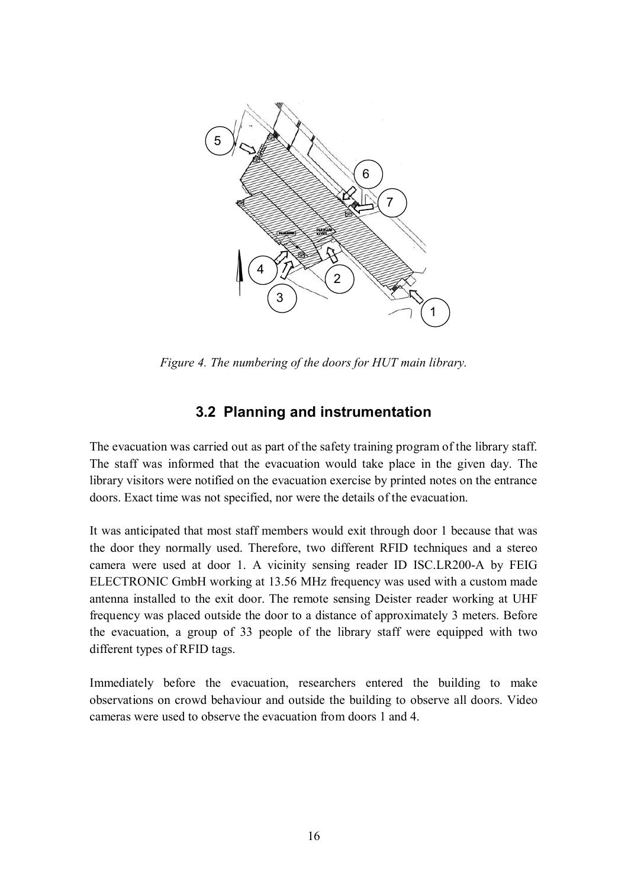

*Figure 4. The numbering of the doors for HUT main library.*

### **3.2 Planning and instrumentation**

The evacuation was carried out as part of the safety training program of the library staff. The staff was informed that the evacuation would take place in the given day. The library visitors were notified on the evacuation exercise by printed notes on the entrance doors. Exact time was not specified, nor were the details of the evacuation.

It was anticipated that most staff members would exit through door 1 because that was the door they normally used. Therefore, two different RFID techniques and a stereo camera were used at door 1. A vicinity sensing reader ID ISC.LR200-A by FEIG ELECTRONIC GmbH working at 13.56 MHz frequency was used with a custom made antenna installed to the exit door. The remote sensing Deister reader working at UHF frequency was placed outside the door to a distance of approximately 3 meters. Before the evacuation, a group of 33 people of the library staff were equipped with two different types of RFID tags.

Immediately before the evacuation, researchers entered the building to make observations on crowd behaviour and outside the building to observe all doors. Video cameras were used to observe the evacuation from doors 1 and 4.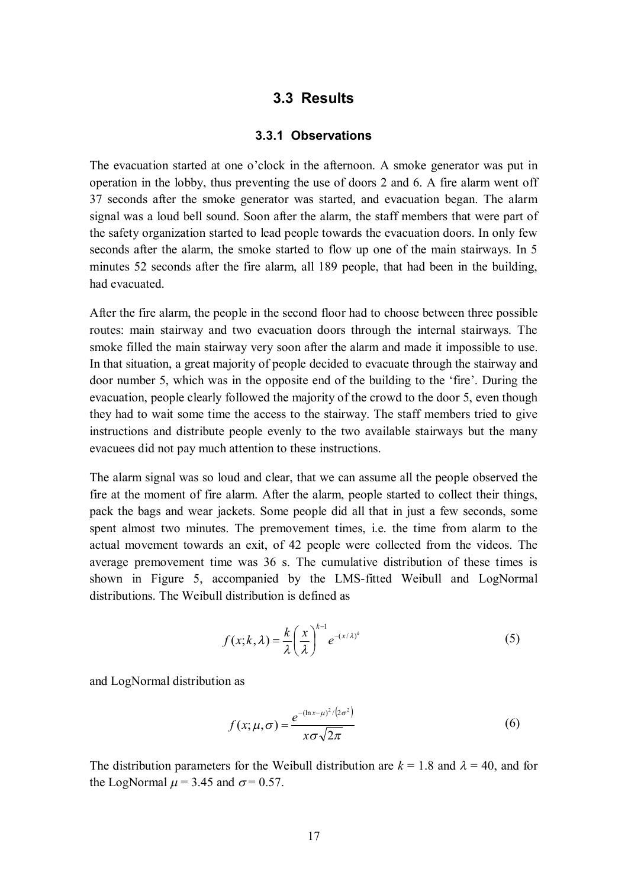#### **3.3 Results**

#### **3.3.1 Observations**

The evacuation started at one o'clock in the afternoon. A smoke generator was put in operation in the lobby, thus preventing the use of doors 2 and 6. A fire alarm went off 37 seconds after the smoke generator was started, and evacuation began. The alarm signal was a loud bell sound. Soon after the alarm, the staff members that were part of the safety organization started to lead people towards the evacuation doors. In only few seconds after the alarm, the smoke started to flow up one of the main stairways. In 5 minutes 52 seconds after the fire alarm, all 189 people, that had been in the building, had evacuated.

After the fire alarm, the people in the second floor had to choose between three possible routes: main stairway and two evacuation doors through the internal stairways. The smoke filled the main stairway very soon after the alarm and made it impossible to use. In that situation, a great majority of people decided to evacuate through the stairway and door number 5, which was in the opposite end of the building to the 'fire'. During the evacuation, people clearly followed the majority of the crowd to the door 5, even though they had to wait some time the access to the stairway. The staff members tried to give instructions and distribute people evenly to the two available stairways but the many evacuees did not pay much attention to these instructions.

The alarm signal was so loud and clear, that we can assume all the people observed the fire at the moment of fire alarm. After the alarm, people started to collect their things, pack the bags and wear jackets. Some people did all that in just a few seconds, some spent almost two minutes. The premovement times, i.e. the time from alarm to the actual movement towards an exit, of 42 people were collected from the videos. The average premovement time was 36 s. The cumulative distribution of these times is shown in Figure 5, accompanied by the LMS-fitted Weibull and LogNormal distributions. The Weibull distribution is defined as

$$
f(x; k, \lambda) = \frac{k}{\lambda} \left(\frac{x}{\lambda}\right)^{k-1} e^{-(x/\lambda)^k}
$$
 (5)

and LogNormal distribution as

$$
f(x; \mu, \sigma) = \frac{e^{-(\ln x - \mu)^2/(2\sigma^2)}}{x\sigma\sqrt{2\pi}}
$$
 (6)

The distribution parameters for the Weibull distribution are  $k = 1.8$  and  $\lambda = 40$ , and for the LogNormal  $\mu$  = 3.45 and  $\sigma$  = 0.57.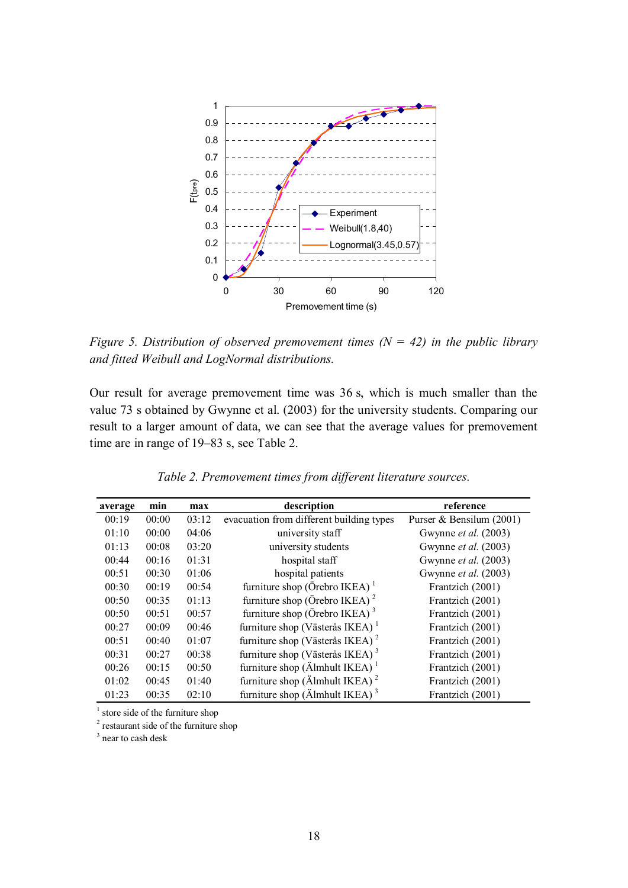

*Figure 5. Distribution of observed premovement times (N = 42) in the public library and fitted Weibull and LogNormal distributions.*

Our result for average premovement time was 36 s, which is much smaller than the value 73 s obtained by Gwynne et al. (2003) for the university students. Comparing our result to a larger amount of data, we can see that the average values for premovement time are in range of 19–83 s, see Table 2.

| average | min   | max   | description                                           | reference                   |
|---------|-------|-------|-------------------------------------------------------|-----------------------------|
| 00:19   | 00:00 | 03:12 | evacuation from different building types              | Purser & Bensilum (2001)    |
| 01:10   | 00:00 | 04:06 | university staff                                      | Gwynne et al. (2003)        |
| 01:13   | 00:08 | 03:20 | university students                                   | Gwynne et al. (2003)        |
| 00:44   | 00:16 | 01:31 | hospital staff                                        | Gwynne <i>et al.</i> (2003) |
| 00:51   | 00:30 | 01:06 | hospital patients                                     | Gwynne <i>et al.</i> (2003) |
| 00:30   | 00:19 | 00:54 | furniture shop (Örebro IKEA) $1$                      | Frantzich (2001)            |
| 00:50   | 00:35 | 01:13 | furniture shop (Örebro IKEA) $^2$                     | Frantzich (2001)            |
| 00:50   | 00:51 | 00:57 | furniture shop (Örebro IKEA) <sup>3</sup>             | Frantzich (2001)            |
| 00:27   | 00:09 | 00:46 | furniture shop (Västerås IKEA) $1$                    | Frantzich (2001)            |
| 00:51   | 00:40 | 01:07 | furniture shop (Västerås IKEA) <sup>2</sup>           | Frantzich (2001)            |
| 00:31   | 00:27 | 00:38 | furniture shop (Västerås IKEA) <sup>3</sup>           | Frantzich (2001)            |
| 00:26   | 00:15 | 00:50 | furniture shop ( $\ddot{A}$ lmhult IKEA) <sup>1</sup> | Frantzich (2001)            |
| 01:02   | 00:45 | 01:40 | furniture shop ( $\ddot{A}$ lmhult IKEA) <sup>2</sup> | Frantzich (2001)            |
| 01:23   | 00:35 | 02:10 | furniture shop (Älmhult IKEA) <sup>3</sup>            | Frantzich (2001)            |

*Table 2. Premovement times from different literature sources.*

<sup>1</sup> store side of the furniture shop

<sup>2</sup> restaurant side of the furniture shop

<sup>3</sup> near to cash desk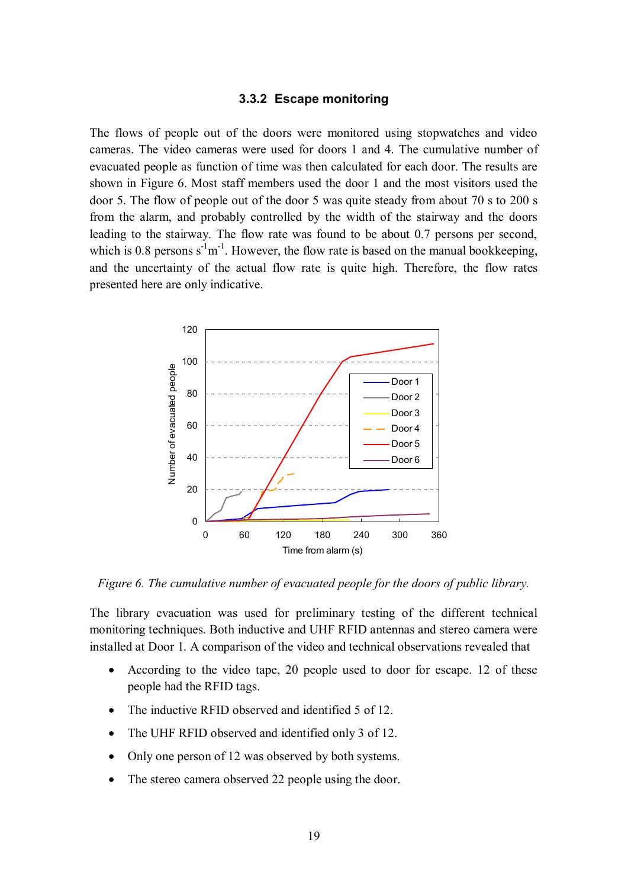#### **3.3.2 Escape monitoring**

The flows of people out of the doors were monitored using stopwatches and video cameras. The video cameras were used for doors 1 and 4. The cumulative number of evacuated people as function of time was then calculated for each door. The results are shown in Figure 6. Most staff members used the door 1 and the most visitors used the door 5. The flow of people out of the door 5 was quite steady from about 70 s to 200 s from the alarm, and probably controlled by the width of the stairway and the doors leading to the stairway. The flow rate was found to be about 0.7 persons per second, which is 0.8 persons  $s^{-1}m^{-1}$ . However, the flow rate is based on the manual bookkeeping, and the uncertainty of the actual flow rate is quite high. Therefore, the flow rates presented here are only indicative.



*Figure 6. The cumulative number of evacuated people for the doors of public library.*

The library evacuation was used for preliminary testing of the different technical monitoring techniques. Both inductive and UHF RFID antennas and stereo camera were installed at Door 1. A comparison of the video and technical observations revealed that

- According to the video tape, 20 people used to door for escape. 12 of these people had the RFID tags.
- The inductive RFID observed and identified 5 of 12.
- The UHF RFID observed and identified only 3 of 12.
- Only one person of 12 was observed by both systems.
- The stereo camera observed 22 people using the door.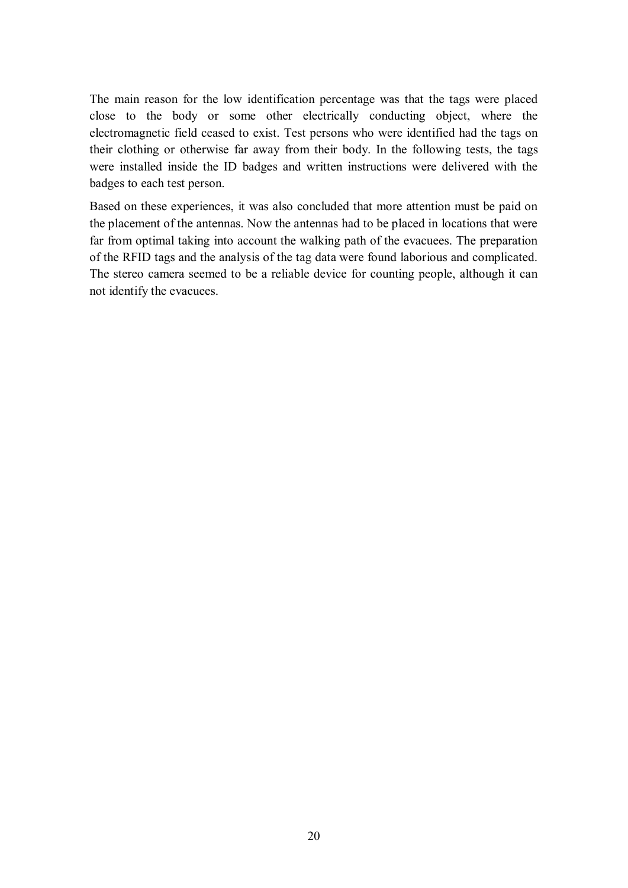The main reason for the low identification percentage was that the tags were placed close to the body or some other electrically conducting object, where the electromagnetic field ceased to exist. Test persons who were identified had the tags on their clothing or otherwise far away from their body. In the following tests, the tags were installed inside the ID badges and written instructions were delivered with the badges to each test person.

Based on these experiences, it was also concluded that more attention must be paid on the placement of the antennas. Now the antennas had to be placed in locations that were far from optimal taking into account the walking path of the evacuees. The preparation of the RFID tags and the analysis of the tag data were found laborious and complicated. The stereo camera seemed to be a reliable device for counting people, although it can not identify the evacuees.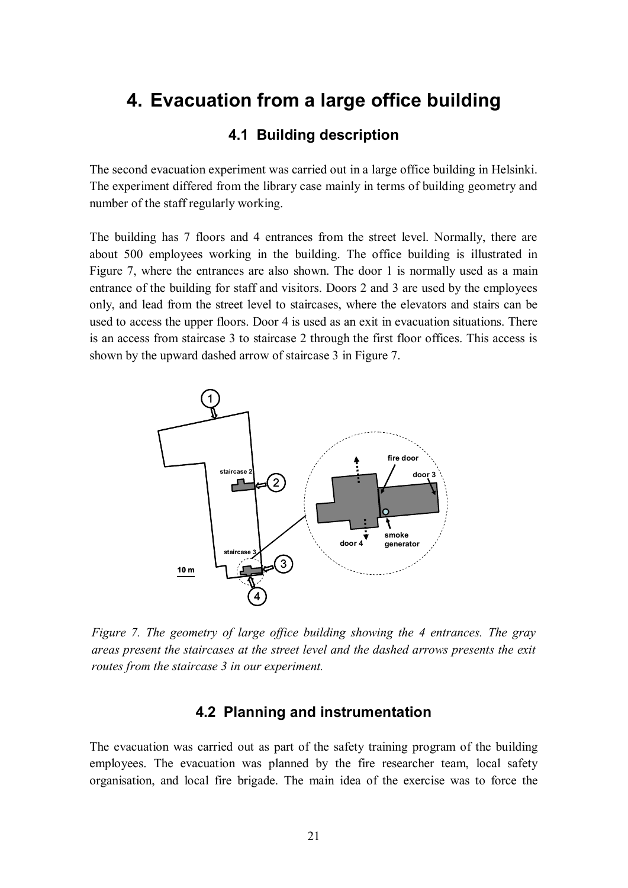## **4. Evacuation from a large office building**

### **4.1 Building description**

The second evacuation experiment was carried out in a large office building in Helsinki. The experiment differed from the library case mainly in terms of building geometry and number of the staff regularly working.

The building has 7 floors and 4 entrances from the street level. Normally, there are about 500 employees working in the building. The office building is illustrated in Figure 7, where the entrances are also shown. The door 1 is normally used as a main entrance of the building for staff and visitors. Doors 2 and 3 are used by the employees only, and lead from the street level to staircases, where the elevators and stairs can be used to access the upper floors. Door 4 is used as an exit in evacuation situations. There is an access from staircase 3 to staircase 2 through the first floor offices. This access is shown by the upward dashed arrow of staircase 3 in Figure 7.



*Figure 7. The geometry of large office building showing the 4 entrances. The gray areas present the staircases at the street level and the dashed arrows presents the exit routes from the staircase 3 in our experiment.*

#### **4.2 Planning and instrumentation**

The evacuation was carried out as part of the safety training program of the building employees. The evacuation was planned by the fire researcher team, local safety organisation, and local fire brigade. The main idea of the exercise was to force the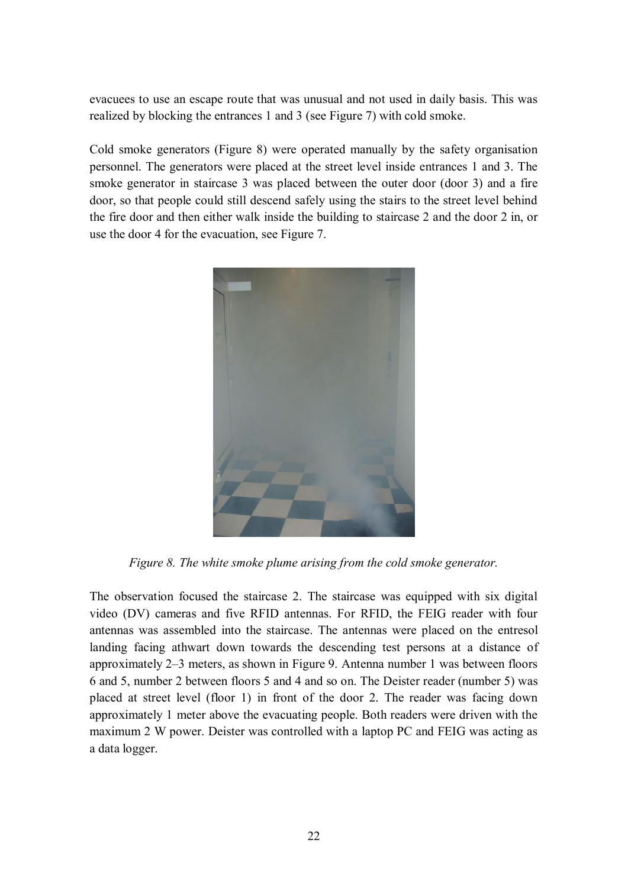evacuees to use an escape route that was unusual and not used in daily basis. This was realized by blocking the entrances 1 and 3 (see Figure 7) with cold smoke.

Cold smoke generators (Figure 8) were operated manually by the safety organisation personnel. The generators were placed at the street level inside entrances 1 and 3. The smoke generator in staircase 3 was placed between the outer door (door 3) and a fire door, so that people could still descend safely using the stairs to the street level behind the fire door and then either walk inside the building to staircase 2 and the door 2 in, or use the door 4 for the evacuation, see Figure 7.



*Figure 8. The white smoke plume arising from the cold smoke generator.*

The observation focused the staircase 2. The staircase was equipped with six digital video (DV) cameras and five RFID antennas. For RFID, the FEIG reader with four antennas was assembled into the staircase. The antennas were placed on the entresol landing facing athwart down towards the descending test persons at a distance of approximately 2–3 meters, as shown in Figure 9. Antenna number 1 was between floors 6 and 5, number 2 between floors 5 and 4 and so on. The Deister reader (number 5) was placed at street level (floor 1) in front of the door 2. The reader was facing down approximately 1 meter above the evacuating people. Both readers were driven with the maximum 2 W power. Deister was controlled with a laptop PC and FEIG was acting as a data logger.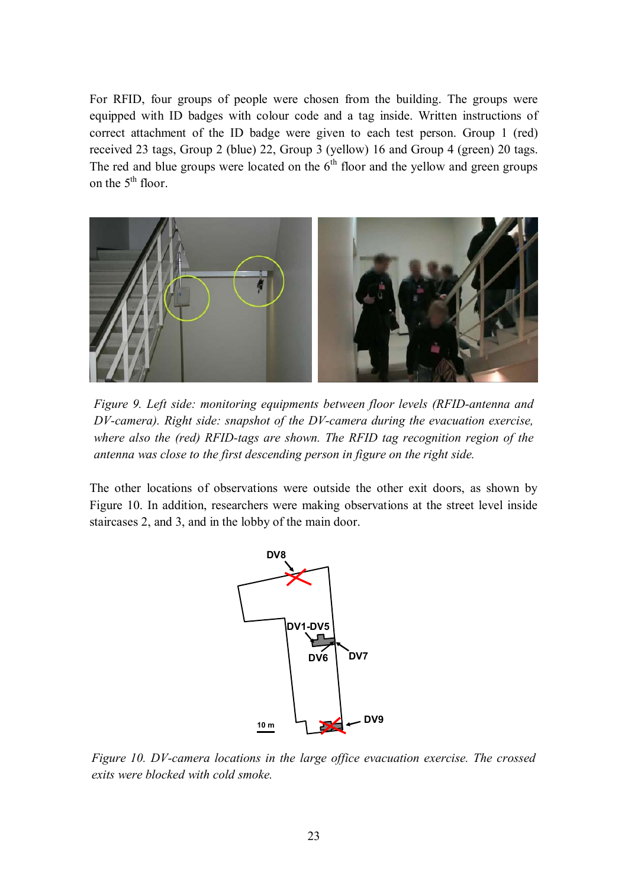For RFID, four groups of people were chosen from the building. The groups were equipped with ID badges with colour code and a tag inside. Written instructions of correct attachment of the ID badge were given to each test person. Group 1 (red) received 23 tags, Group 2 (blue) 22, Group 3 (yellow) 16 and Group 4 (green) 20 tags. The red and blue groups were located on the  $6<sup>th</sup>$  floor and the yellow and green groups on the  $5<sup>th</sup>$  floor.



*Figure 9. Left side: monitoring equipments between floor levels (RFID-antenna and DV-camera). Right side: snapshot of the DV-camera during the evacuation exercise, where also the (red) RFID-tags are shown. The RFID tag recognition region of the antenna was close to the first descending person in figure on the right side.*

The other locations of observations were outside the other exit doors, as shown by Figure 10. In addition, researchers were making observations at the street level inside staircases 2, and 3, and in the lobby of the main door.



*Figure 10. DV-camera locations in the large office evacuation exercise. The crossed exits were blocked with cold smoke.*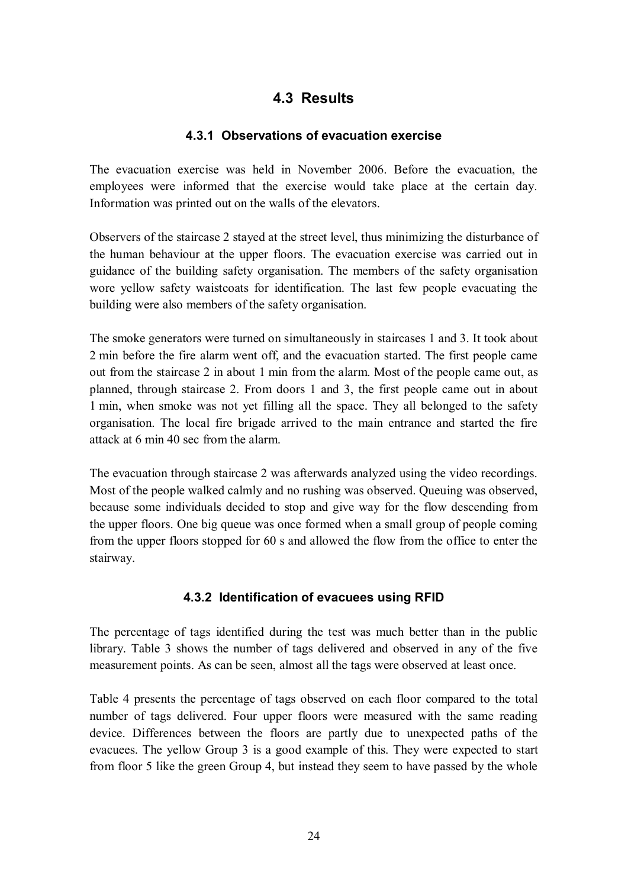### **4.3 Results**

#### **4.3.1 Observations of evacuation exercise**

The evacuation exercise was held in November 2006. Before the evacuation, the employees were informed that the exercise would take place at the certain day. Information was printed out on the walls of the elevators.

Observers of the staircase 2 stayed at the street level, thus minimizing the disturbance of the human behaviour at the upper floors. The evacuation exercise was carried out in guidance of the building safety organisation. The members of the safety organisation wore yellow safety waistcoats for identification. The last few people evacuating the building were also members of the safety organisation.

The smoke generators were turned on simultaneously in staircases 1 and 3. It took about 2 min before the fire alarm went off, and the evacuation started. The first people came out from the staircase 2 in about 1 min from the alarm. Most of the people came out, as planned, through staircase 2. From doors 1 and 3, the first people came out in about 1 min, when smoke was not yet filling all the space. They all belonged to the safety organisation. The local fire brigade arrived to the main entrance and started the fire attack at 6 min 40 sec from the alarm.

The evacuation through staircase 2 was afterwards analyzed using the video recordings. Most of the people walked calmly and no rushing was observed. Queuing was observed, because some individuals decided to stop and give way for the flow descending from the upper floors. One big queue was once formed when a small group of people coming from the upper floors stopped for 60 s and allowed the flow from the office to enter the stairway.

#### **4.3.2 Identification of evacuees using RFID**

The percentage of tags identified during the test was much better than in the public library. Table 3 shows the number of tags delivered and observed in any of the five measurement points. As can be seen, almost all the tags were observed at least once.

Table 4 presents the percentage of tags observed on each floor compared to the total number of tags delivered. Four upper floors were measured with the same reading device. Differences between the floors are partly due to unexpected paths of the evacuees. The yellow Group 3 is a good example of this. They were expected to start from floor 5 like the green Group 4, but instead they seem to have passed by the whole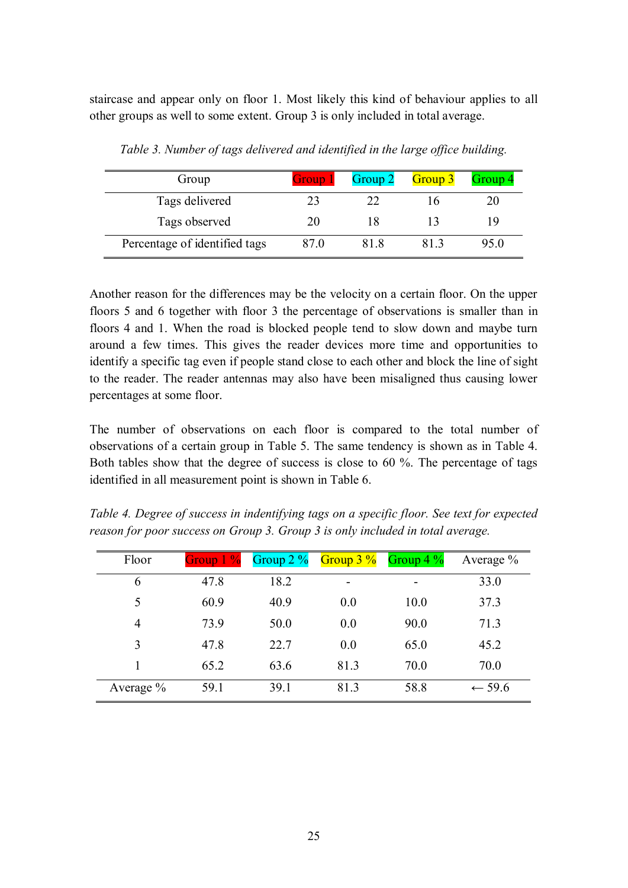staircase and appear only on floor 1. Most likely this kind of behaviour applies to all other groups as well to some extent. Group 3 is only included in total average.

| Group                         | Group 1 | Group 2 | Group 3 | Group 4 |
|-------------------------------|---------|---------|---------|---------|
| Tags delivered                |         | つつ      |         |         |
| Tags observed                 | 20      | l X     |         | 19      |
| Percentage of identified tags | 87 0    | 81 8    |         | 95.0    |

*Table 3. Number of tags delivered and identified in the large office building.*

Another reason for the differences may be the velocity on a certain floor. On the upper floors 5 and 6 together with floor 3 the percentage of observations is smaller than in floors 4 and 1. When the road is blocked people tend to slow down and maybe turn around a few times. This gives the reader devices more time and opportunities to identify a specific tag even if people stand close to each other and block the line of sight to the reader. The reader antennas may also have been misaligned thus causing lower percentages at some floor.

The number of observations on each floor is compared to the total number of observations of a certain group in Table 5. The same tendency is shown as in Table 4. Both tables show that the degree of success is close to 60 %. The percentage of tags identified in all measurement point is shown in Table 6.

| Table 4. Degree of success in indentifying tags on a specific floor. See text for expected |  |  |
|--------------------------------------------------------------------------------------------|--|--|
| reason for poor success on Group 3. Group 3 is only included in total average.             |  |  |

| Floor       | Group $1\%$ | Group $2\%$ | Group $3\%$ | Group $4\%$ | Average $\%$      |
|-------------|-------------|-------------|-------------|-------------|-------------------|
| 6           | 47.8        | 18.2        | -           |             | 33.0              |
| 5           | 60.9        | 40.9        | 0.0         | 10.0        | 37.3              |
| 4           | 73.9        | 50.0        | 0.0         | 90.0        | 71.3              |
| 3           | 47.8        | 22.7        | 0.0         | 65.0        | 45.2              |
|             | 65.2        | 63.6        | 81.3        | 70.0        | 70.0              |
| Average $%$ | 59.1        | 39.1        | 81.3        | 58.8        | $\leftarrow$ 59.6 |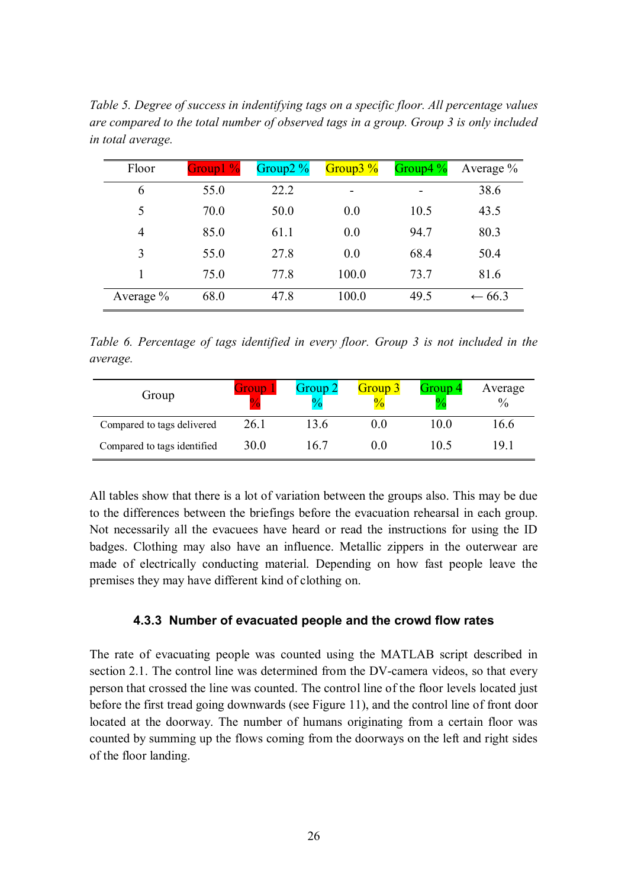| Floor          | $Group1\%$ | Group $2\%$ | Group $\frac{3}{6}$ | Group4 $\frac{9}{6}$ | Average $\%$      |
|----------------|------------|-------------|---------------------|----------------------|-------------------|
| 6              | 55.0       | 22.2        |                     |                      | 38.6              |
| 5              | 70.0       | 50.0        | 0.0                 | 10.5                 | 43.5              |
| $\overline{4}$ | 85.0       | 61.1        | 0.0                 | 94.7                 | 80.3              |
| 3              | 55.0       | 27.8        | 0.0                 | 68.4                 | 50.4              |
|                | 75.0       | 77.8        | 100.0               | 73.7                 | 81.6              |
| Average $%$    | 68.0       | 47.8        | 100.0               | 49.5                 | $\leftarrow 66.3$ |

*Table 5. Degree of success in indentifying tags on a specific floor. All percentage values are compared to the total number of observed tags in a group. Group 3 is only included in total average.*

*Table 6. Percentage of tags identified in every floor. Group 3 is not included in the average.*

| Group                       | Group | Group 2 | Group 3<br>$\frac{0}{2}$ | Group 4<br>$\bf{0}$ | Average<br>$\frac{0}{0}$ |
|-----------------------------|-------|---------|--------------------------|---------------------|--------------------------|
| Compared to tags delivered  | 26.1  | 3.6     | $0.0\,$                  | 10 O                | 16.6                     |
| Compared to tags identified | 30.0  | 6.7     | 00                       | 05                  | 19.1                     |

All tables show that there is a lot of variation between the groups also. This may be due to the differences between the briefings before the evacuation rehearsal in each group. Not necessarily all the evacuees have heard or read the instructions for using the ID badges. Clothing may also have an influence. Metallic zippers in the outerwear are made of electrically conducting material. Depending on how fast people leave the premises they may have different kind of clothing on.

#### **4.3.3 Number of evacuated people and the crowd flow rates**

The rate of evacuating people was counted using the MATLAB script described in section 2.1. The control line was determined from the DV-camera videos, so that every person that crossed the line was counted. The control line of the floor levels located just before the first tread going downwards (see Figure 11), and the control line of front door located at the doorway. The number of humans originating from a certain floor was counted by summing up the flows coming from the doorways on the left and right sides of the floor landing.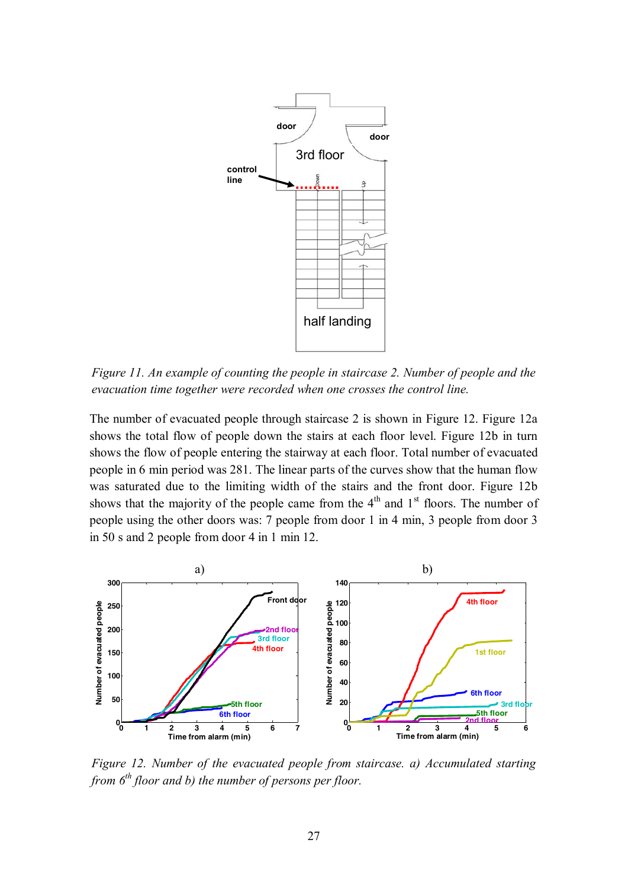

*Figure 11. An example of counting the people in staircase 2. Number of people and the evacuation time together were recorded when one crosses the control line.*

The number of evacuated people through staircase 2 is shown in Figure 12. Figure 12a shows the total flow of people down the stairs at each floor level. Figure 12b in turn shows the flow of people entering the stairway at each floor. Total number of evacuated people in 6 min period was 281. The linear parts of the curves show that the human flow was saturated due to the limiting width of the stairs and the front door. Figure 12b shows that the majority of the people came from the  $4<sup>th</sup>$  and  $1<sup>st</sup>$  floors. The number of people using the other doors was: 7 people from door 1 in 4 min, 3 people from door 3 in 50 s and 2 people from door 4 in 1 min 12.



*Figure 12. Number of the evacuated people from staircase. a) Accumulated starting from 6th floor and b) the number of persons per floor.*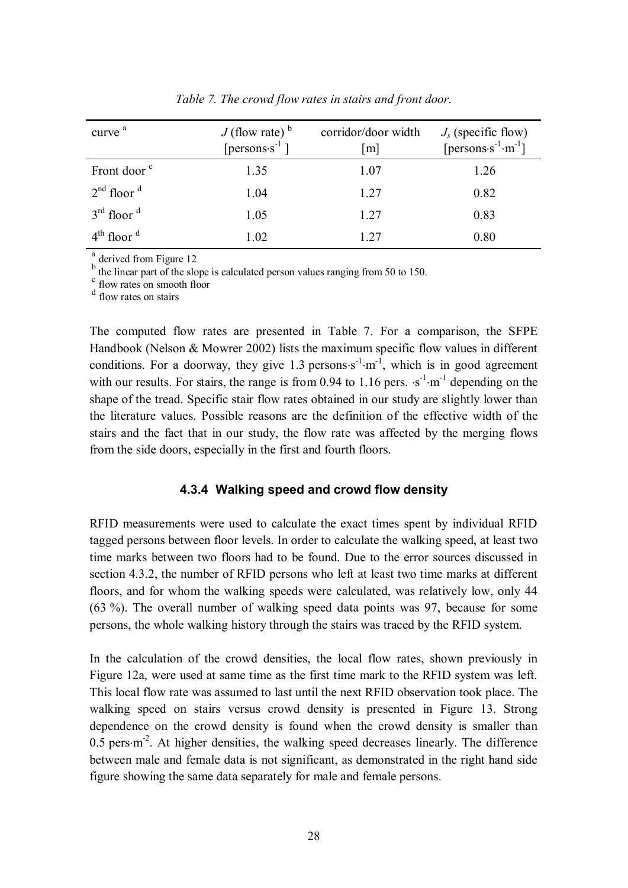| curve <sup>a</sup>      | $J$ (flow rate) $\rm^b$<br>[persons $s^{-1}$ ] | corridor/door width<br> m | $J_s$ (specific flow)<br>[ $persons·s-1·m-1$ ] |
|-------------------------|------------------------------------------------|---------------------------|------------------------------------------------|
| Front door <sup>c</sup> | 1.35                                           | 1.07                      | 1.26                                           |
| $2nd$ floor $d$         | 1.04                                           | 1.27                      | 0.82                                           |
| $3rd$ floor $d$         | 1.05                                           | 1.27                      | 0.83                                           |
| $4th$ floor $d$         | 1.02                                           | 1 27                      | 0.80                                           |

*Table 7. The crowd flow rates in stairs and front door.*

a derived from Figure 12

 $b$  the linear part of the slope is calculated person values ranging from 50 to 150.

 $\frac{c}{f}$  flow rates on smooth floor

d flow rates on stairs

The computed flow rates are presented in Table 7. For a comparison, the SFPE Handbook (Nelson & Mowrer 2002) lists the maximum specific flow values in different conditions. For a doorway, they give 1.3 persons $s^{-1}$ ·m<sup>-1</sup>, which is in good agreement with our results. For stairs, the range is from 0.94 to 1.16 pers.  $\cdot$ s<sup>-1</sup> $\cdot$ m<sup>-1</sup> depending on the shape of the tread. Specific stair flow rates obtained in our study are slightly lower than the literature values. Possible reasons are the definition of the effective width of the stairs and the fact that in our study, the flow rate was affected by the merging flows from the side doors, especially in the first and fourth floors.

#### **4.3.4 Walking speed and crowd flow density**

RFID measurements were used to calculate the exact times spent by individual RFID tagged persons between floor levels. In order to calculate the walking speed, at least two time marks between two floors had to be found. Due to the error sources discussed in section 4.3.2, the number of RFID persons who left at least two time marks at different floors, and for whom the walking speeds were calculated, was relatively low, only 44 (63 %). The overall number of walking speed data points was 97, because for some persons, the whole walking history through the stairs was traced by the RFID system.

In the calculation of the crowd densities, the local flow rates, shown previously in Figure 12a, were used at same time as the first time mark to the RFID system was left. This local flow rate was assumed to last until the next RFID observation took place. The walking speed on stairs versus crowd density is presented in Figure 13. Strong dependence on the crowd density is found when the crowd density is smaller than  $0.5$  pers $\cdot$ m<sup>-2</sup>. At higher densities, the walking speed decreases linearly. The difference between male and female data is not significant, as demonstrated in the right hand side figure showing the same data separately for male and female persons.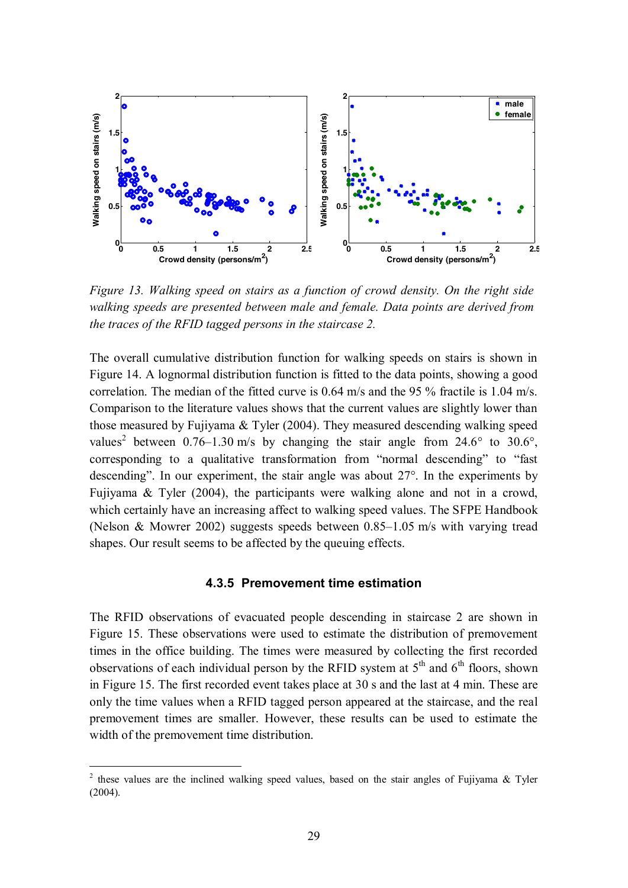

*Figure 13. Walking speed on stairs as a function of crowd density. On the right side walking speeds are presented between male and female. Data points are derived from the traces of the RFID tagged persons in the staircase 2.*

The overall cumulative distribution function for walking speeds on stairs is shown in Figure 14. A lognormal distribution function is fitted to the data points, showing a good correlation. The median of the fitted curve is 0.64 m/s and the 95 % fractile is 1.04 m/s. Comparison to the literature values shows that the current values are slightly lower than those measured by Fujiyama & Tyler (2004). They measured descending walking speed values<sup>2</sup> between 0.76–1.30 m/s by changing the stair angle from 24.6° to 30.6°, corresponding to a qualitative transformation from "normal descending" to "fast descending". In our experiment, the stair angle was about 27°. In the experiments by Fujiyama & Tyler (2004), the participants were walking alone and not in a crowd, which certainly have an increasing affect to walking speed values. The SFPE Handbook (Nelson & Mowrer 2002) suggests speeds between 0.85–1.05 m/s with varying tread shapes. Our result seems to be affected by the queuing effects.

#### **4.3.5 Premovement time estimation**

The RFID observations of evacuated people descending in staircase 2 are shown in Figure 15. These observations were used to estimate the distribution of premovement times in the office building. The times were measured by collecting the first recorded observations of each individual person by the RFID system at  $5<sup>th</sup>$  and  $6<sup>th</sup>$  floors, shown in Figure 15. The first recorded event takes place at 30 s and the last at 4 min. These are only the time values when a RFID tagged person appeared at the staircase, and the real premovement times are smaller. However, these results can be used to estimate the width of the premovement time distribution.

<sup>&</sup>lt;sup>2</sup> these values are the inclined walking speed values, based on the stair angles of Fujiyama & Tyler (2004).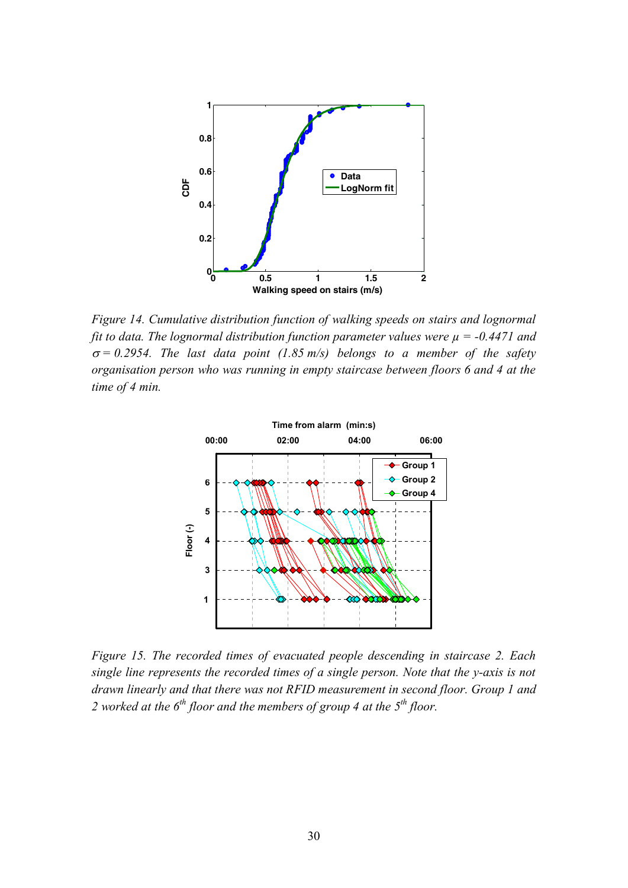

*Figure 14. Cumulative distribution function of walking speeds on stairs and lognormal fit to data. The lognormal distribution function parameter values were µ = -0.4471 and*  $\sigma$  = 0.2954. The last data point (1.85 m/s) belongs to a member of the safety *organisation person who was running in empty staircase between floors 6 and 4 at the time of 4 min.*



*Figure 15. The recorded times of evacuated people descending in staircase 2. Each single line represents the recorded times of a single person. Note that the y-axis is not drawn linearly and that there was not RFID measurement in second floor. Group 1 and 2 worked at the 6th floor and the members of group 4 at the 5th floor.*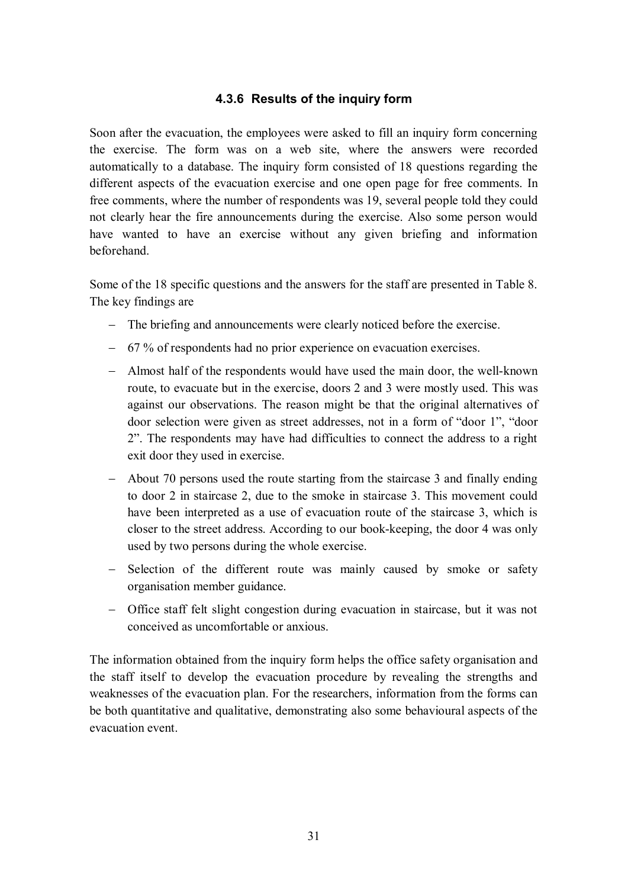#### **4.3.6 Results of the inquiry form**

Soon after the evacuation, the employees were asked to fill an inquiry form concerning the exercise. The form was on a web site, where the answers were recorded automatically to a database. The inquiry form consisted of 18 questions regarding the different aspects of the evacuation exercise and one open page for free comments. In free comments, where the number of respondents was 19, several people told they could not clearly hear the fire announcements during the exercise. Also some person would have wanted to have an exercise without any given briefing and information beforehand.

Some of the 18 specific questions and the answers for the staff are presented in Table 8. The key findings are

- The briefing and announcements were clearly noticed before the exercise.
- 67 % of respondents had no prior experience on evacuation exercises.
- Almost half of the respondents would have used the main door, the well-known route, to evacuate but in the exercise, doors 2 and 3 were mostly used. This was against our observations. The reason might be that the original alternatives of door selection were given as street addresses, not in a form of "door 1", "door 2". The respondents may have had difficulties to connect the address to a right exit door they used in exercise.
- About 70 persons used the route starting from the staircase 3 and finally ending to door 2 in staircase 2, due to the smoke in staircase 3. This movement could have been interpreted as a use of evacuation route of the staircase 3, which is closer to the street address. According to our book-keeping, the door 4 was only used by two persons during the whole exercise.
- Selection of the different route was mainly caused by smoke or safety organisation member guidance.
- Office staff felt slight congestion during evacuation in staircase, but it was not conceived as uncomfortable or anxious.

The information obtained from the inquiry form helps the office safety organisation and the staff itself to develop the evacuation procedure by revealing the strengths and weaknesses of the evacuation plan. For the researchers, information from the forms can be both quantitative and qualitative, demonstrating also some behavioural aspects of the evacuation event.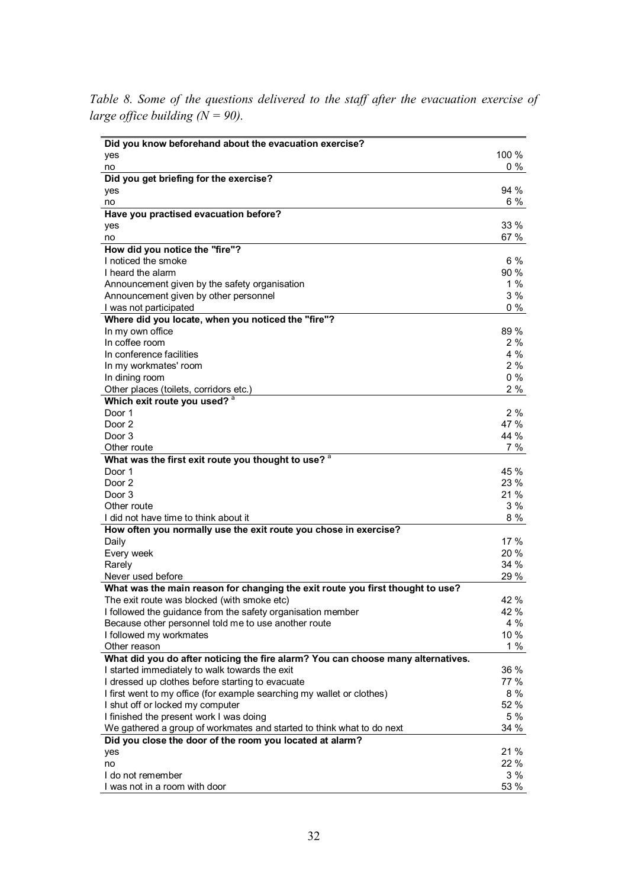*Table 8. Some of the questions delivered to the staff after the evacuation exercise of large office building*  $(N = 90)$ *.* 

| Did you know beforehand about the evacuation exercise?                           |            |
|----------------------------------------------------------------------------------|------------|
| yes                                                                              | 100 %      |
| no                                                                               | $0\%$      |
| Did you get briefing for the exercise?                                           |            |
| yes                                                                              | 94 %       |
| no                                                                               | 6 %        |
| Have you practised evacuation before?                                            |            |
| yes                                                                              | 33 %       |
| no                                                                               | 67 %       |
| How did you notice the "fire"?                                                   |            |
| I noticed the smoke                                                              | 6%         |
| I heard the alarm                                                                | 90 %       |
| Announcement given by the safety organisation                                    | 1%         |
| Announcement given by other personnel                                            | 3%         |
| I was not participated                                                           | $0\%$      |
| Where did you locate, when you noticed the "fire"?                               |            |
| In my own office                                                                 | 89 %       |
| In coffee room                                                                   | 2%         |
| In conference facilities                                                         | 4 %        |
| In my workmates' room                                                            | 2%         |
| In dining room                                                                   | $0\%$      |
| Other places (toilets, corridors etc.)                                           | 2%         |
| Which exit route you used? a                                                     |            |
| Door 1                                                                           | 2%<br>47 % |
| Door 2<br>Door 3                                                                 | 44 %       |
|                                                                                  |            |
| Other route                                                                      | 7 %        |
| What was the first exit route you thought to use? <sup>a</sup><br>Door 1         | 45 %       |
| Door 2                                                                           | 23 %       |
| Door 3                                                                           | 21 %       |
| Other route                                                                      | 3%         |
| I did not have time to think about it                                            | 8 %        |
| How often you normally use the exit route you chose in exercise?                 |            |
| Daily                                                                            | 17 %       |
| Every week                                                                       | 20 %       |
| Rarely                                                                           | 34 %       |
| Never used before                                                                | 29 %       |
| What was the main reason for changing the exit route you first thought to use?   |            |
| The exit route was blocked (with smoke etc)                                      | 42 %       |
| I followed the guidance from the safety organisation member                      | 42 %       |
| Because other personnel told me to use another route                             | 4 %        |
| I followed my workmates                                                          | $10 \%$    |
| Other reason                                                                     | 1%         |
| What did you do after noticing the fire alarm? You can choose many alternatives. |            |
| I started immediately to walk towards the exit                                   | 36 %       |
| I dressed up clothes before starting to evacuate                                 | 77 %       |
| I first went to my office (for example searching my wallet or clothes)           | 8 %        |
| I shut off or locked my computer                                                 | 52 %       |
| I finished the present work I was doing                                          | 5 %        |
| We gathered a group of workmates and started to think what to do next            | 34 %       |
| Did you close the door of the room you located at alarm?                         |            |
| yes                                                                              | 21 %       |
| no                                                                               | 22 %       |
| I do not remember                                                                | 3%         |
| I was not in a room with door                                                    | 53 %       |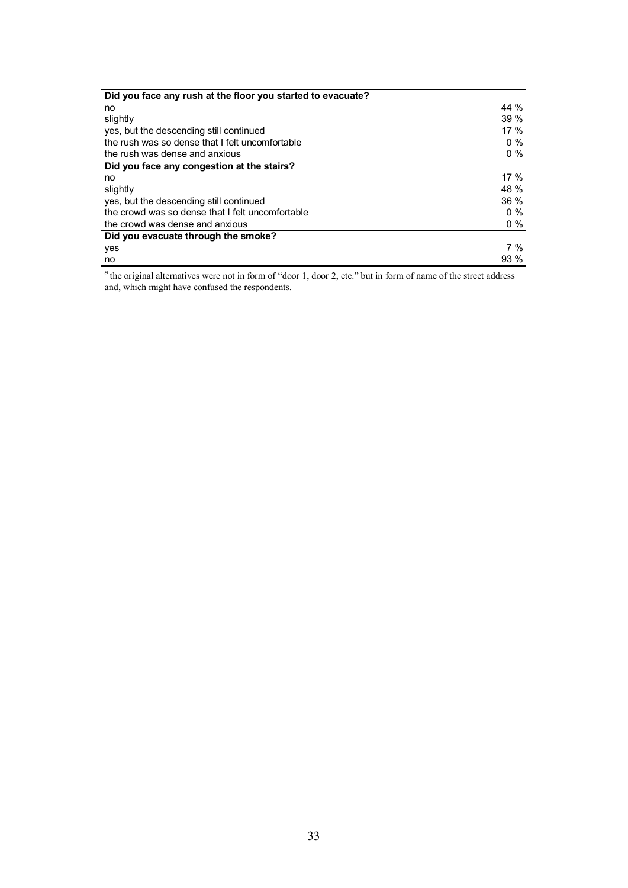| Did you face any rush at the floor you started to evacuate? |        |
|-------------------------------------------------------------|--------|
| no                                                          | 44 %   |
| slightly                                                    | 39%    |
| yes, but the descending still continued                     | $17\%$ |
| the rush was so dense that I felt uncomfortable             | $0\%$  |
| the rush was dense and anxious                              | $0\%$  |
| Did you face any congestion at the stairs?                  |        |
| no                                                          | 17 $%$ |
| slightly                                                    | 48 %   |
| yes, but the descending still continued                     | $36\%$ |
| the crowd was so dense that I felt uncomfortable            | $0\%$  |
| the crowd was dense and anxious                             | $0\%$  |
| Did you evacuate through the smoke?                         |        |
| yes                                                         | 7 %    |
| no                                                          | $93\%$ |

<sup>a</sup> the original alternatives were not in form of "door 1, door 2, etc." but in form of name of the street address and, which might have confused the respondents.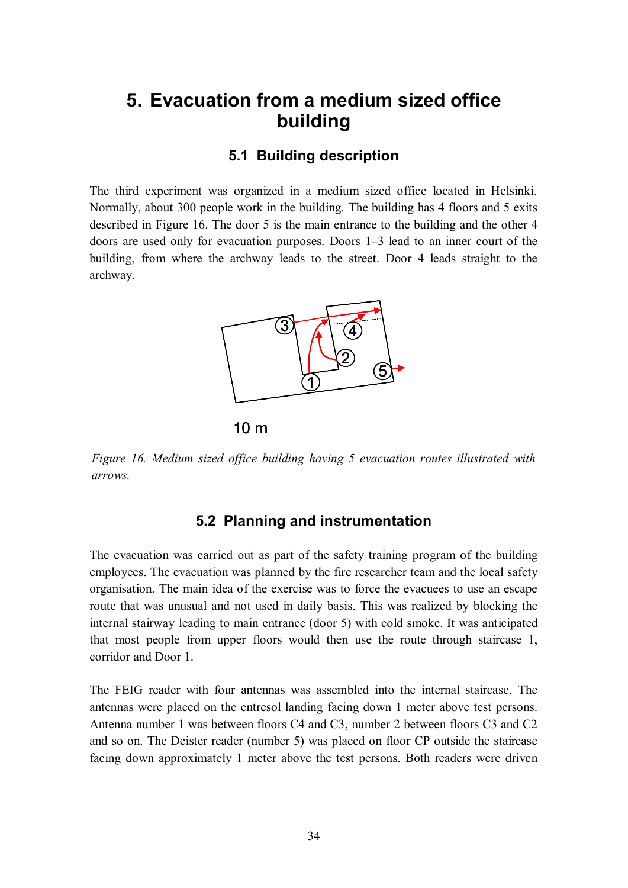## **5. Evacuation from a medium sized office building**

#### **5.1 Building description**

The third experiment was organized in a medium sized office located in Helsinki. Normally, about 300 people work in the building. The building has 4 floors and 5 exits described in Figure 16. The door 5 is the main entrance to the building and the other 4 doors are used only for evacuation purposes. Doors 1–3 lead to an inner court of the building, from where the archway leads to the street. Door 4 leads straight to the archway.



*Figure 16. Medium sized office building having 5 evacuation routes illustrated with arrows.*

#### **5.2 Planning and instrumentation**

The evacuation was carried out as part of the safety training program of the building employees. The evacuation was planned by the fire researcher team and the local safety organisation. The main idea of the exercise was to force the evacuees to use an escape route that was unusual and not used in daily basis. This was realized by blocking the internal stairway leading to main entrance (door 5) with cold smoke. It was anticipated that most people from upper floors would then use the route through staircase 1, corridor and Door 1.

The FEIG reader with four antennas was assembled into the internal staircase. The antennas were placed on the entresol landing facing down 1 meter above test persons. Antenna number 1 was between floors C4 and C3, number 2 between floors C3 and C2 and so on. The Deister reader (number 5) was placed on floor CP outside the staircase facing down approximately 1 meter above the test persons. Both readers were driven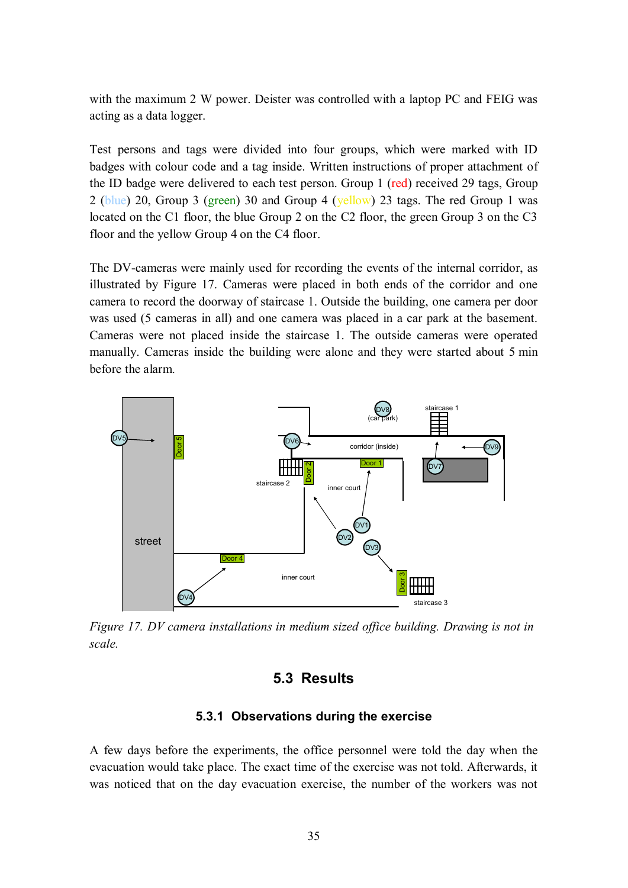with the maximum 2 W power. Deister was controlled with a laptop PC and FEIG was acting as a data logger.

Test persons and tags were divided into four groups, which were marked with ID badges with colour code and a tag inside. Written instructions of proper attachment of the ID badge were delivered to each test person. Group 1 (red) received 29 tags, Group 2 (blue) 20, Group 3 (green) 30 and Group 4 (yellow) 23 tags. The red Group 1 was located on the C1 floor, the blue Group 2 on the C2 floor, the green Group 3 on the C3 floor and the yellow Group 4 on the C4 floor.

The DV-cameras were mainly used for recording the events of the internal corridor, as illustrated by Figure 17. Cameras were placed in both ends of the corridor and one camera to record the doorway of staircase 1. Outside the building, one camera per door was used (5 cameras in all) and one camera was placed in a car park at the basement. Cameras were not placed inside the staircase 1. The outside cameras were operated manually. Cameras inside the building were alone and they were started about 5 min before the alarm.



*Figure 17. DV camera installations in medium sized office building. Drawing is not in scale.*

#### **5.3 Results**

#### **5.3.1 Observations during the exercise**

A few days before the experiments, the office personnel were told the day when the evacuation would take place. The exact time of the exercise was not told. Afterwards, it was noticed that on the day evacuation exercise, the number of the workers was not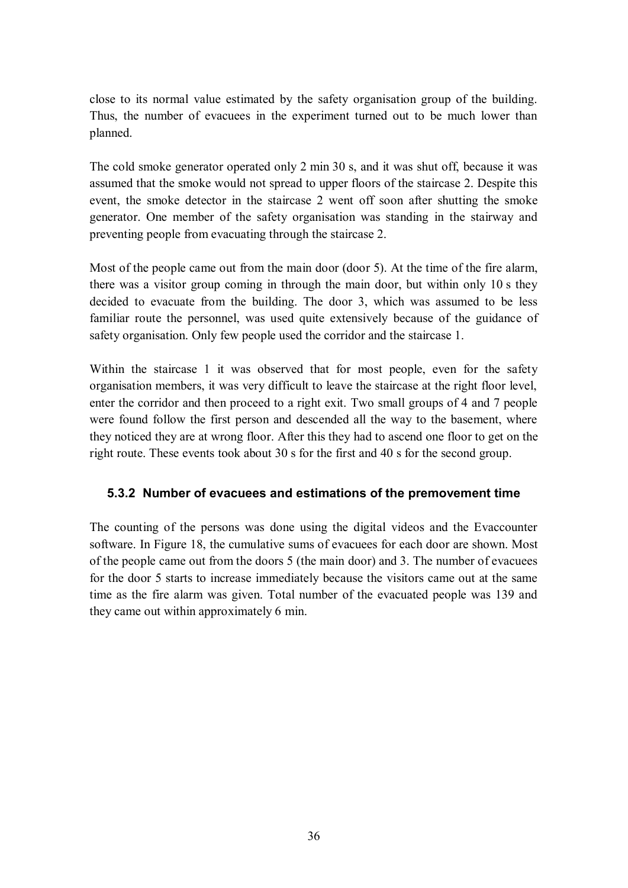close to its normal value estimated by the safety organisation group of the building. Thus, the number of evacuees in the experiment turned out to be much lower than planned.

The cold smoke generator operated only 2 min 30 s, and it was shut off, because it was assumed that the smoke would not spread to upper floors of the staircase 2. Despite this event, the smoke detector in the staircase 2 went off soon after shutting the smoke generator. One member of the safety organisation was standing in the stairway and preventing people from evacuating through the staircase 2.

Most of the people came out from the main door (door 5). At the time of the fire alarm, there was a visitor group coming in through the main door, but within only 10 s they decided to evacuate from the building. The door 3, which was assumed to be less familiar route the personnel, was used quite extensively because of the guidance of safety organisation. Only few people used the corridor and the staircase 1.

Within the staircase 1 it was observed that for most people, even for the safety organisation members, it was very difficult to leave the staircase at the right floor level, enter the corridor and then proceed to a right exit. Two small groups of 4 and 7 people were found follow the first person and descended all the way to the basement, where they noticed they are at wrong floor. After this they had to ascend one floor to get on the right route. These events took about 30 s for the first and 40 s for the second group.

#### **5.3.2 Number of evacuees and estimations of the premovement time**

The counting of the persons was done using the digital videos and the Evaccounter software. In Figure 18, the cumulative sums of evacuees for each door are shown. Most of the people came out from the doors 5 (the main door) and 3. The number of evacuees for the door 5 starts to increase immediately because the visitors came out at the same time as the fire alarm was given. Total number of the evacuated people was 139 and they came out within approximately 6 min.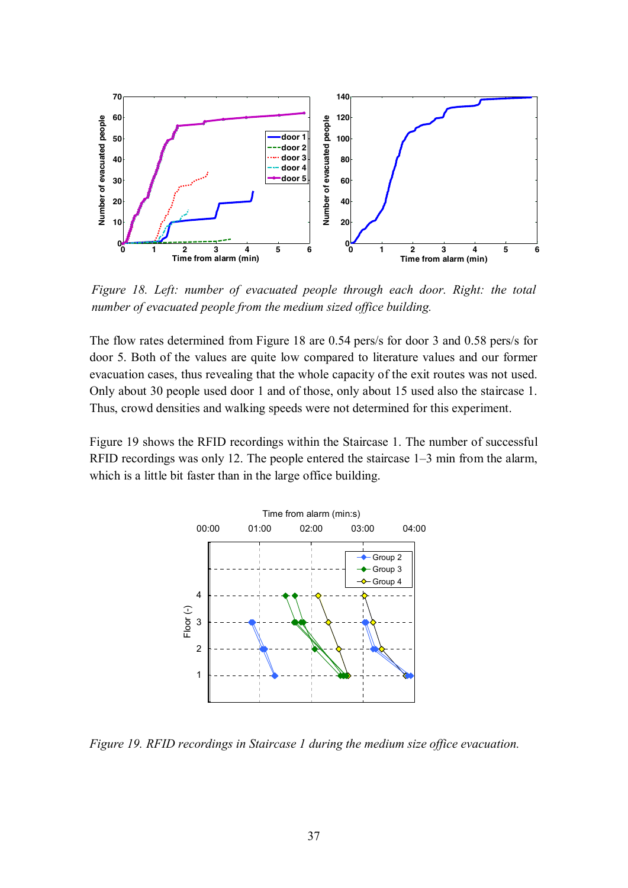

*Figure 18. Left: number of evacuated people through each door. Right: the total number of evacuated people from the medium sized office building.*

The flow rates determined from Figure 18 are 0.54 pers/s for door 3 and 0.58 pers/s for door 5. Both of the values are quite low compared to literature values and our former evacuation cases, thus revealing that the whole capacity of the exit routes was not used. Only about 30 people used door 1 and of those, only about 15 used also the staircase 1. Thus, crowd densities and walking speeds were not determined for this experiment.

Figure 19 shows the RFID recordings within the Staircase 1. The number of successful RFID recordings was only 12. The people entered the staircase 1–3 min from the alarm, which is a little bit faster than in the large office building.



*Figure 19. RFID recordings in Staircase 1 during the medium size office evacuation.*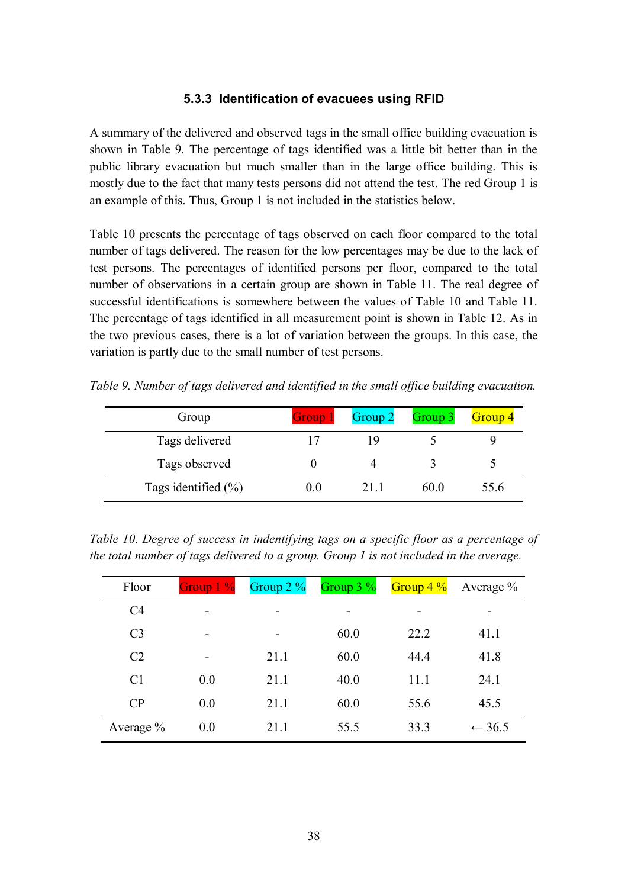#### **5.3.3 Identification of evacuees using RFID**

A summary of the delivered and observed tags in the small office building evacuation is shown in Table 9. The percentage of tags identified was a little bit better than in the public library evacuation but much smaller than in the large office building. This is mostly due to the fact that many tests persons did not attend the test. The red Group 1 is an example of this. Thus, Group 1 is not included in the statistics below.

Table 10 presents the percentage of tags observed on each floor compared to the total number of tags delivered. The reason for the low percentages may be due to the lack of test persons. The percentages of identified persons per floor, compared to the total number of observations in a certain group are shown in Table 11. The real degree of successful identifications is somewhere between the values of Table 10 and Table 11. The percentage of tags identified in all measurement point is shown in Table 12. As in the two previous cases, there is a lot of variation between the groups. In this case, the variation is partly due to the small number of test persons.

| Group                   | Group 1 | Group 2 | Group 3 | Group 4 |
|-------------------------|---------|---------|---------|---------|
| Tags delivered          |         | 19      |         |         |
| Tags observed           |         |         |         |         |
| Tags identified $(\% )$ | U.O     | 21 I    | 60.0    | 55.6    |

*Table 9. Number of tags delivered and identified in the small office building evacuation.*

*Table 10. Degree of success in indentifying tags on a specific floor as a percentage of the total number of tags delivered to a group. Group 1 is not included in the average.*

| Floor          | Group $1\%$ | Group $2\%$ | Group $3\%$ | Group 4 $\%$ | Average $\%$      |
|----------------|-------------|-------------|-------------|--------------|-------------------|
| C <sub>4</sub> |             | -           | -           |              | -                 |
| C <sub>3</sub> |             |             | 60.0        | 22.2         | 41.1              |
| C <sub>2</sub> | ۰           | 21.1        | 60.0        | 44.4         | 41.8              |
| C <sub>1</sub> | 0.0         | 21.1        | 40.0        | 11.1         | 24.1              |
| CP             | 0.0         | 21.1        | 60.0        | 55.6         | 45.5              |
| Average $\%$   | 0.0         | 21.1        | 55.5        | 33.3         | $\leftarrow$ 36.5 |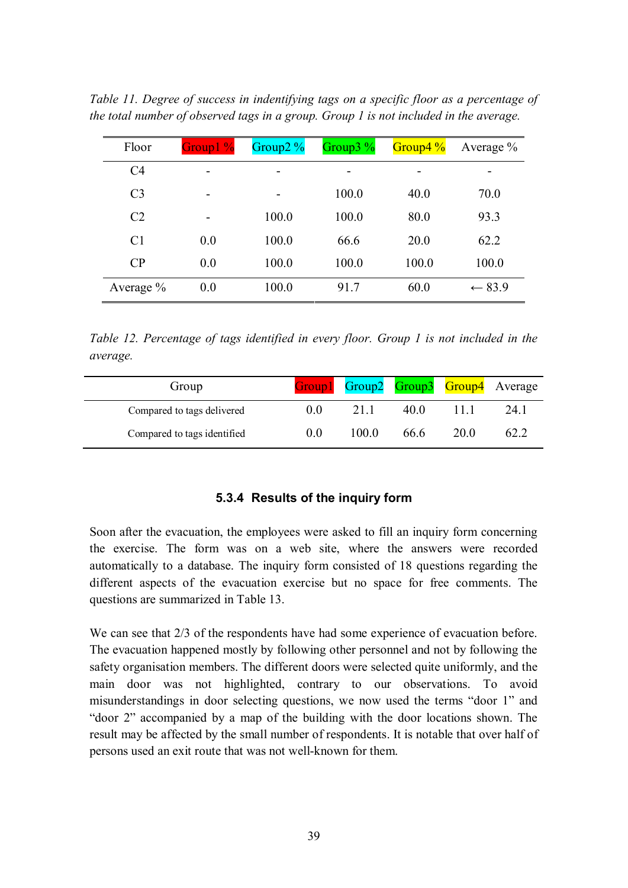| Floor          | Group1 % | Group $2\%$ | Group $3\%$ | Group4 $\frac{9}{6}$ | Average $\%$      |
|----------------|----------|-------------|-------------|----------------------|-------------------|
| C <sub>4</sub> | -        | -           |             |                      |                   |
| C <sub>3</sub> |          | -           | 100.0       | 40.0                 | 70.0              |
| C <sub>2</sub> | -        | 100.0       | 100.0       | 80.0                 | 93.3              |
| C <sub>1</sub> | 0.0      | 100.0       | 66.6        | 20.0                 | 62.2              |
| CP             | 0.0      | 100.0       | 100.0       | 100.0                | 100.0             |
| Average $\%$   | 0.0      | 100.0       | 91.7        | 60.0                 | $\leftarrow$ 83.9 |

*Table 11. Degree of success in indentifying tags on a specific floor as a percentage of the total number of observed tags in a group. Group 1 is not included in the average.*

*Table 12. Percentage of tags identified in every floor. Group 1 is not included in the average.*

| Group                       |     |       |      |      | Group1 Group2 Group3 Group4 Average |
|-----------------------------|-----|-------|------|------|-------------------------------------|
| Compared to tags delivered  | 0.0 | 21 1  | 40 O |      | 24.1                                |
| Compared to tags identified | 0.0 | 100 0 | 66.6 | 20.0 | 62.2                                |

#### **5.3.4 Results of the inquiry form**

Soon after the evacuation, the employees were asked to fill an inquiry form concerning the exercise. The form was on a web site, where the answers were recorded automatically to a database. The inquiry form consisted of 18 questions regarding the different aspects of the evacuation exercise but no space for free comments. The questions are summarized in Table 13.

We can see that 2/3 of the respondents have had some experience of evacuation before. The evacuation happened mostly by following other personnel and not by following the safety organisation members. The different doors were selected quite uniformly, and the main door was not highlighted, contrary to our observations. To avoid misunderstandings in door selecting questions, we now used the terms "door 1" and "door 2" accompanied by a map of the building with the door locations shown. The result may be affected by the small number of respondents. It is notable that over half of persons used an exit route that was not well-known for them.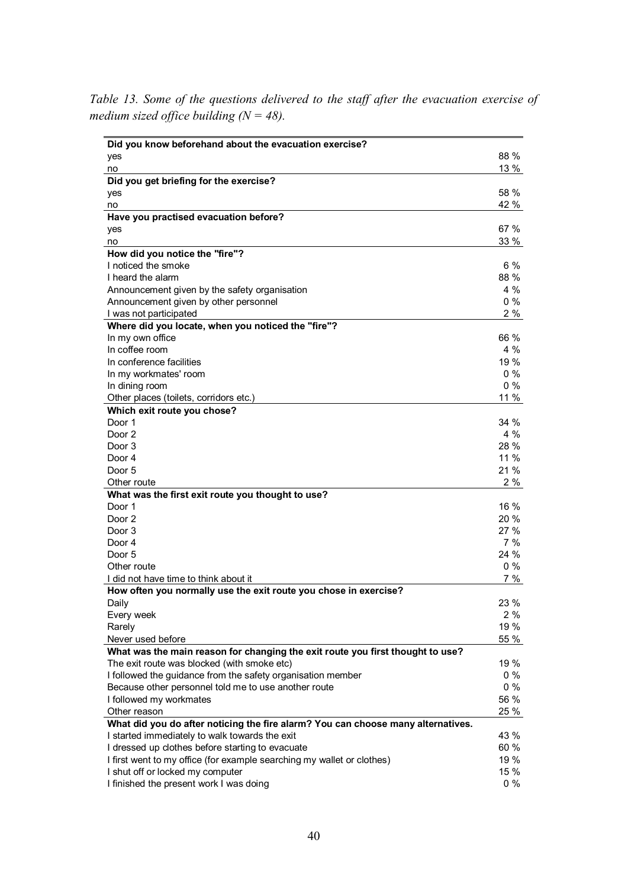*Table 13. Some of the questions delivered to the staff after the evacuation exercise of medium sized office building (N = 48).*

| Did you know beforehand about the evacuation exercise?                           |             |
|----------------------------------------------------------------------------------|-------------|
| yes                                                                              | 88 %        |
| no                                                                               | 13 %        |
| Did you get briefing for the exercise?                                           |             |
| yes                                                                              | 58 %        |
| no                                                                               | 42 %        |
| Have you practised evacuation before?                                            |             |
| yes                                                                              | 67%         |
| no                                                                               | 33 %        |
| How did you notice the "fire"?                                                   |             |
| I noticed the smoke                                                              | 6 %         |
| I heard the alarm                                                                | 88%         |
| Announcement given by the safety organisation                                    | 4 %         |
| Announcement given by other personnel                                            | $0\%$       |
| I was not participated                                                           | 2 %         |
| Where did you locate, when you noticed the "fire"?                               |             |
| In my own office                                                                 | 66 %        |
| In coffee room                                                                   | 4 %         |
| In conference facilities                                                         | 19 %        |
| In my workmates' room                                                            | $0\%$       |
| In dining room                                                                   | $0\%$       |
| Other places (toilets, corridors etc.)                                           | 11 %        |
| Which exit route you chose?                                                      |             |
| Door 1                                                                           | 34 %        |
| Door <sub>2</sub>                                                                | 4 %         |
| Door 3                                                                           | 28 %        |
| Door 4                                                                           | 11 %        |
| Door 5                                                                           | 21 %        |
| Other route                                                                      | 2 %         |
| What was the first exit route you thought to use?                                |             |
| Door 1                                                                           | 16 %        |
| Door 2                                                                           | 20 %        |
| Door 3                                                                           | 27%         |
| Door 4                                                                           | $7\%$       |
| Door 5                                                                           | 24 %        |
| Other route                                                                      | $0\%$       |
| I did not have time to think about it                                            | 7%          |
| How often you normally use the exit route you chose in exercise?                 | 23 %        |
| Daily                                                                            |             |
| Every week<br>Rarely                                                             | 2 %<br>19 % |
| Never used before                                                                | 55 %        |
| What was the main reason for changing the exit route you first thought to use?   |             |
| The exit route was blocked (with smoke etc)                                      | 19 %        |
| I followed the guidance from the safety organisation member                      | $0\%$       |
| Because other personnel told me to use another route                             | $0\%$       |
| I followed my workmates                                                          | 56 %        |
| Other reason                                                                     | 25 %        |
| What did you do after noticing the fire alarm? You can choose many alternatives. |             |
| I started immediately to walk towards the exit                                   | 43 %        |
| I dressed up clothes before starting to evacuate                                 | 60 %        |
| I first went to my office (for example searching my wallet or clothes)           | 19 %        |
| I shut off or locked my computer                                                 | 15 %        |
| I finished the present work I was doing                                          | $0\%$       |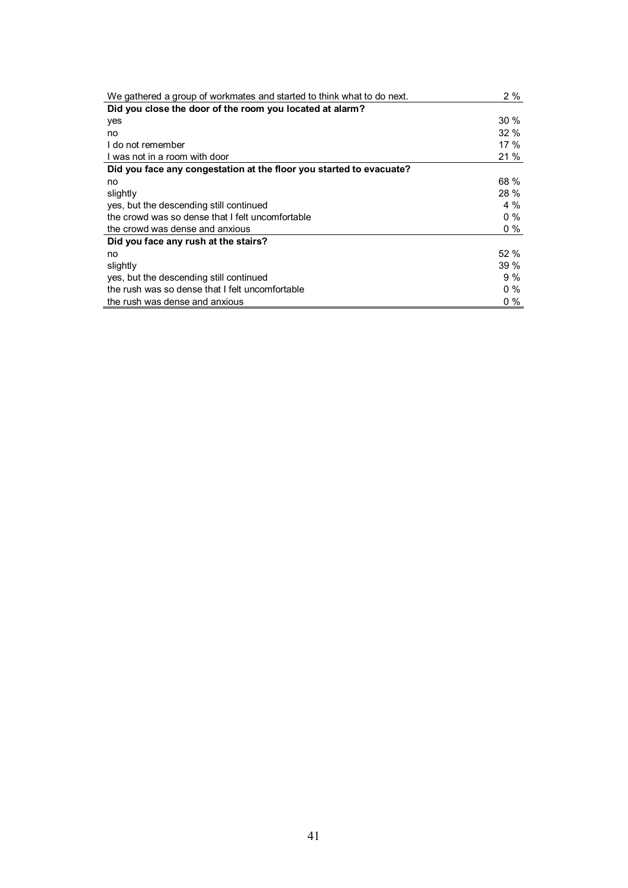| We gathered a group of workmates and started to think what to do next. | 2%      |
|------------------------------------------------------------------------|---------|
| Did you close the door of the room you located at alarm?               |         |
| yes                                                                    | $30\%$  |
| no                                                                     | $32 \%$ |
| I do not remember                                                      | 17%     |
| I was not in a room with door                                          | 21 %    |
| Did you face any congestation at the floor you started to evacuate?    |         |
| no                                                                     | 68 %    |
| slightly                                                               | 28 %    |
| yes, but the descending still continued                                | $4\%$   |
| the crowd was so dense that I felt uncomfortable                       | $0\%$   |
| the crowd was dense and anxious                                        | $0\%$   |
| Did you face any rush at the stairs?                                   |         |
| no                                                                     | 52%     |
| slightly                                                               | 39%     |
| yes, but the descending still continued                                | $9\%$   |
| the rush was so dense that I felt uncomfortable                        | $0\%$   |
| the rush was dense and anxious                                         | $0\%$   |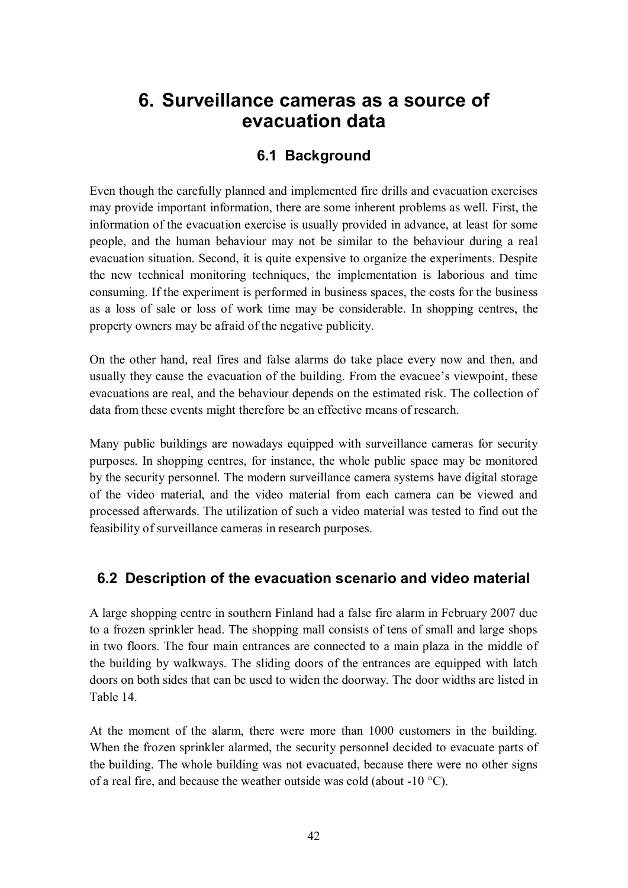## **6. Surveillance cameras as a source of evacuation data**

### **6.1 Background**

Even though the carefully planned and implemented fire drills and evacuation exercises may provide important information, there are some inherent problems as well. First, the information of the evacuation exercise is usually provided in advance, at least for some people, and the human behaviour may not be similar to the behaviour during a real evacuation situation. Second, it is quite expensive to organize the experiments. Despite the new technical monitoring techniques, the implementation is laborious and time consuming. If the experiment is performed in business spaces, the costs for the business as a loss of sale or loss of work time may be considerable. In shopping centres, the property owners may be afraid of the negative publicity.

On the other hand, real fires and false alarms do take place every now and then, and usually they cause the evacuation of the building. From the evacuee's viewpoint, these evacuations are real, and the behaviour depends on the estimated risk. The collection of data from these events might therefore be an effective means of research.

Many public buildings are nowadays equipped with surveillance cameras for security purposes. In shopping centres, for instance, the whole public space may be monitored by the security personnel. The modern surveillance camera systems have digital storage of the video material, and the video material from each camera can be viewed and processed afterwards. The utilization of such a video material was tested to find out the feasibility of surveillance cameras in research purposes.

### **6.2 Description of the evacuation scenario and video material**

A large shopping centre in southern Finland had a false fire alarm in February 2007 due to a frozen sprinkler head. The shopping mall consists of tens of small and large shops in two floors. The four main entrances are connected to a main plaza in the middle of the building by walkways. The sliding doors of the entrances are equipped with latch doors on both sides that can be used to widen the doorway. The door widths are listed in Table 14.

At the moment of the alarm, there were more than 1000 customers in the building. When the frozen sprinkler alarmed, the security personnel decided to evacuate parts of the building. The whole building was not evacuated, because there were no other signs of a real fire, and because the weather outside was cold (about -10  $^{\circ}$ C).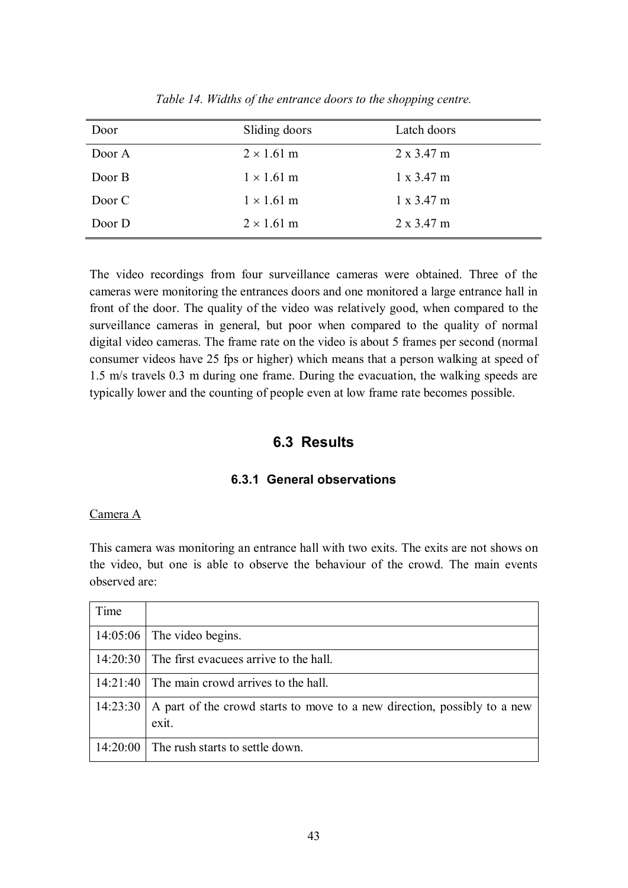| Door   | Sliding doors     | Latch doors       |
|--------|-------------------|-------------------|
| Door A | $2 \times 1.61$ m | $2 \times 3.47$ m |
| Door B | $1 \times 1.61$ m | $1 \times 3.47$ m |
| Door C | $1 \times 1.61$ m | $1 \times 3.47$ m |
| Door D | $2 \times 1.61$ m | $2 \times 3.47$ m |

*Table 14. Widths of the entrance doors to the shopping centre.*

The video recordings from four surveillance cameras were obtained. Three of the cameras were monitoring the entrances doors and one monitored a large entrance hall in front of the door. The quality of the video was relatively good, when compared to the surveillance cameras in general, but poor when compared to the quality of normal digital video cameras. The frame rate on the video is about 5 frames per second (normal consumer videos have 25 fps or higher) which means that a person walking at speed of 1.5 m/s travels 0.3 m during one frame. During the evacuation, the walking speeds are typically lower and the counting of people even at low frame rate becomes possible.

#### **6.3 Results**

#### **6.3.1 General observations**

#### Camera A

This camera was monitoring an entrance hall with two exits. The exits are not shows on the video, but one is able to observe the behaviour of the crowd. The main events observed are:

| Time     |                                                                                   |
|----------|-----------------------------------------------------------------------------------|
| 14:05:06 | The video begins.                                                                 |
|          | $14:20:30$ The first evacuees arrive to the hall.                                 |
| 14:21:40 | The main crowd arrives to the hall.                                               |
| 14:23:30 | A part of the crowd starts to move to a new direction, possibly to a new<br>exit. |
| 14:20:00 | The rush starts to settle down.                                                   |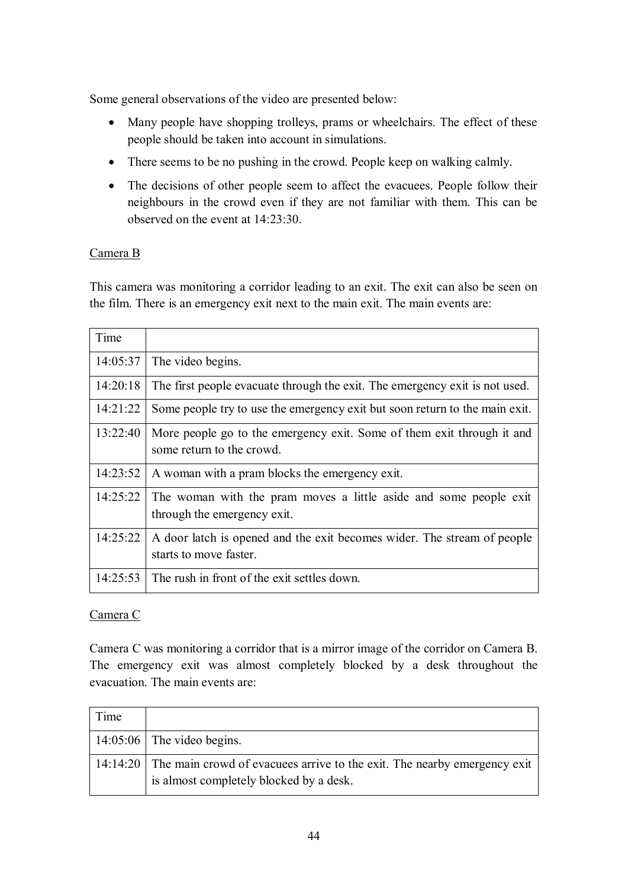Some general observations of the video are presented below:

- Many people have shopping trolleys, prams or wheelchairs. The effect of these people should be taken into account in simulations.
- There seems to be no pushing in the crowd. People keep on walking calmly.
- The decisions of other people seem to affect the evacuees. People follow their neighbours in the crowd even if they are not familiar with them. This can be observed on the event at 14:23:30.

#### Camera B

This camera was monitoring a corridor leading to an exit. The exit can also be seen on the film. There is an emergency exit next to the main exit. The main events are:

| Time     |                                                                                                     |
|----------|-----------------------------------------------------------------------------------------------------|
| 14:05:37 | The video begins.                                                                                   |
| 14:20:18 | The first people evacuate through the exit. The emergency exit is not used.                         |
| 14:21:22 | Some people try to use the emergency exit but soon return to the main exit.                         |
| 13:22:40 | More people go to the emergency exit. Some of them exit through it and<br>some return to the crowd. |
| 14:23:52 | A woman with a pram blocks the emergency exit.                                                      |
| 14:25:22 | The woman with the pram moves a little aside and some people exit<br>through the emergency exit.    |
| 14:25:22 | A door latch is opened and the exit becomes wider. The stream of people<br>starts to move faster.   |
| 14:25:53 | The rush in front of the exit settles down.                                                         |

#### Camera C

Camera C was monitoring a corridor that is a mirror image of the corridor on Camera B. The emergency exit was almost completely blocked by a desk throughout the evacuation. The main events are:

| Time |                                                                                                                              |
|------|------------------------------------------------------------------------------------------------------------------------------|
|      | $14:05:06$ The video begins.                                                                                                 |
|      | 14:14:20 The main crowd of evacuees arrive to the exit. The nearby emergency exit<br>is almost completely blocked by a desk. |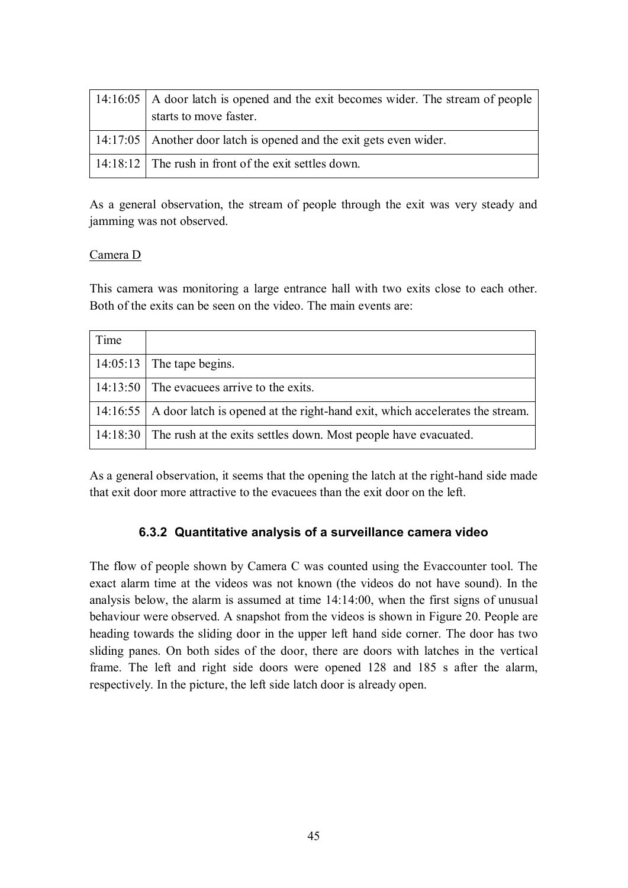| 14:16:05   A door latch is opened and the exit becomes wider. The stream of people<br>starts to move faster. |
|--------------------------------------------------------------------------------------------------------------|
| 14:17:05   Another door latch is opened and the exit gets even wider.                                        |
| $14:18:12$ The rush in front of the exit settles down.                                                       |

As a general observation, the stream of people through the exit was very steady and jamming was not observed.

#### Camera D

This camera was monitoring a large entrance hall with two exits close to each other. Both of the exits can be seen on the video. The main events are:

| Time |                                                                                         |
|------|-----------------------------------------------------------------------------------------|
|      | $14:05:13$ The tape begins.                                                             |
|      | 14:13:50 The evacue s arrive to the exits.                                              |
|      | 14:16:55   A door latch is opened at the right-hand exit, which accelerates the stream. |
|      | 14:18:30 The rush at the exits settles down. Most people have evacuated.                |

As a general observation, it seems that the opening the latch at the right-hand side made that exit door more attractive to the evacuees than the exit door on the left.

#### **6.3.2 Quantitative analysis of a surveillance camera video**

The flow of people shown by Camera C was counted using the Evaccounter tool. The exact alarm time at the videos was not known (the videos do not have sound). In the analysis below, the alarm is assumed at time 14:14:00, when the first signs of unusual behaviour were observed. A snapshot from the videos is shown in Figure 20. People are heading towards the sliding door in the upper left hand side corner. The door has two sliding panes. On both sides of the door, there are doors with latches in the vertical frame. The left and right side doors were opened 128 and 185 s after the alarm, respectively. In the picture, the left side latch door is already open.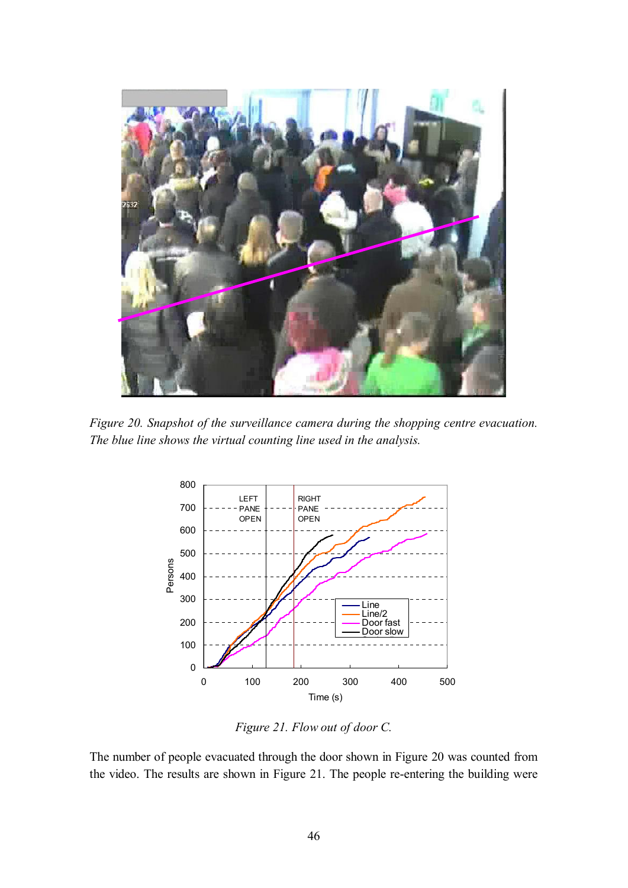

*Figure 20. Snapshot of the surveillance camera during the shopping centre evacuation. The blue line shows the virtual counting line used in the analysis.*



*Figure 21. Flow out of door C.*

The number of people evacuated through the door shown in Figure 20 was counted from the video. The results are shown in Figure 21. The people re-entering the building were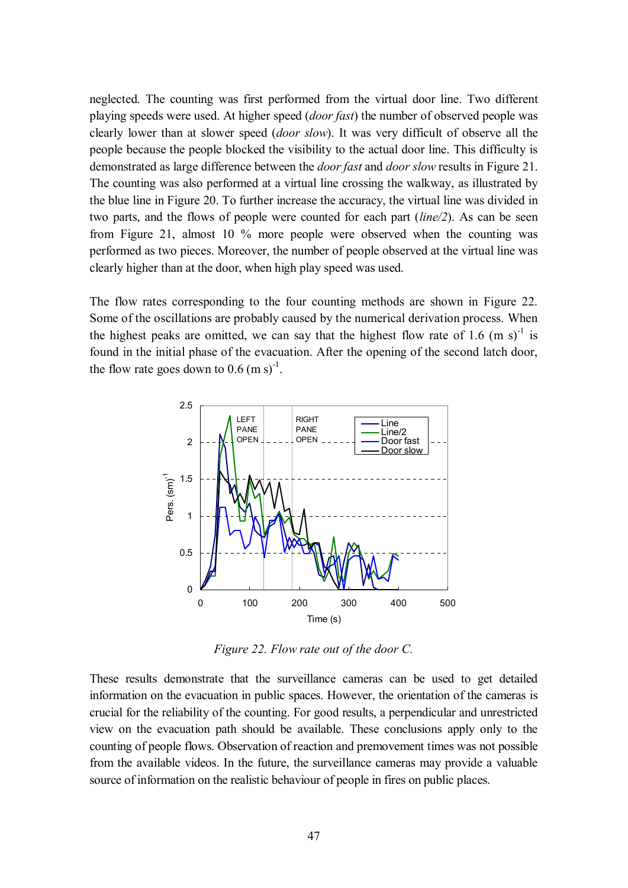neglected. The counting was first performed from the virtual door line. Two different playing speeds were used. At higher speed (*door fast*) the number of observed people was clearly lower than at slower speed (*door slow*). It was very difficult of observe all the people because the people blocked the visibility to the actual door line. This difficulty is demonstrated as large difference between the *door fast* and *door slow* results in Figure 21. The counting was also performed at a virtual line crossing the walkway, as illustrated by the blue line in Figure 20. To further increase the accuracy, the virtual line was divided in two parts, and the flows of people were counted for each part (*line/2*). As can be seen from Figure 21, almost 10 % more people were observed when the counting was performed as two pieces. Moreover, the number of people observed at the virtual line was clearly higher than at the door, when high play speed was used.

The flow rates corresponding to the four counting methods are shown in Figure 22. Some of the oscillations are probably caused by the numerical derivation process. When the highest peaks are omitted, we can say that the highest flow rate of 1.6 (m s)<sup>-1</sup> is found in the initial phase of the evacuation. After the opening of the second latch door, the flow rate goes down to  $0.6 \text{ (m s)}^1$ .



*Figure 22. Flow rate out of the door C.*

These results demonstrate that the surveillance cameras can be used to get detailed information on the evacuation in public spaces. However, the orientation of the cameras is crucial for the reliability of the counting. For good results, a perpendicular and unrestricted view on the evacuation path should be available. These conclusions apply only to the counting of people flows. Observation of reaction and premovement times was not possible from the available videos. In the future, the surveillance cameras may provide a valuable source of information on the realistic behaviour of people in fires on public places.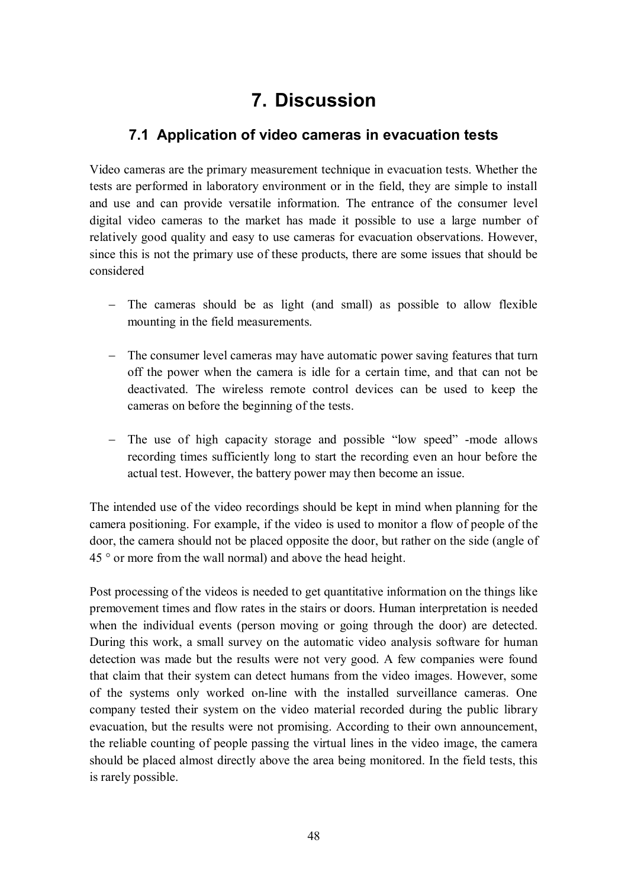## **7. Discussion**

### **7.1 Application of video cameras in evacuation tests**

Video cameras are the primary measurement technique in evacuation tests. Whether the tests are performed in laboratory environment or in the field, they are simple to install and use and can provide versatile information. The entrance of the consumer level digital video cameras to the market has made it possible to use a large number of relatively good quality and easy to use cameras for evacuation observations. However, since this is not the primary use of these products, there are some issues that should be considered

- The cameras should be as light (and small) as possible to allow flexible mounting in the field measurements.
- The consumer level cameras may have automatic power saving features that turn off the power when the camera is idle for a certain time, and that can not be deactivated. The wireless remote control devices can be used to keep the cameras on before the beginning of the tests.
- The use of high capacity storage and possible "low speed" -mode allows recording times sufficiently long to start the recording even an hour before the actual test. However, the battery power may then become an issue.

The intended use of the video recordings should be kept in mind when planning for the camera positioning. For example, if the video is used to monitor a flow of people of the door, the camera should not be placed opposite the door, but rather on the side (angle of 45 ° or more from the wall normal) and above the head height.

Post processing of the videos is needed to get quantitative information on the things like premovement times and flow rates in the stairs or doors. Human interpretation is needed when the individual events (person moving or going through the door) are detected. During this work, a small survey on the automatic video analysis software for human detection was made but the results were not very good. A few companies were found that claim that their system can detect humans from the video images. However, some of the systems only worked on-line with the installed surveillance cameras. One company tested their system on the video material recorded during the public library evacuation, but the results were not promising. According to their own announcement, the reliable counting of people passing the virtual lines in the video image, the camera should be placed almost directly above the area being monitored. In the field tests, this is rarely possible.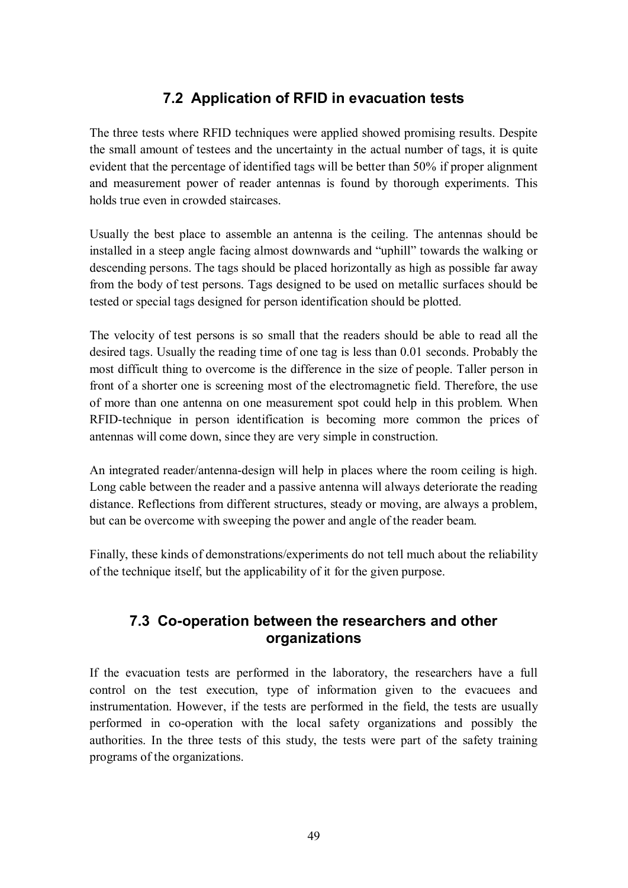### **7.2 Application of RFID in evacuation tests**

The three tests where RFID techniques were applied showed promising results. Despite the small amount of testees and the uncertainty in the actual number of tags, it is quite evident that the percentage of identified tags will be better than 50% if proper alignment and measurement power of reader antennas is found by thorough experiments. This holds true even in crowded staircases.

Usually the best place to assemble an antenna is the ceiling. The antennas should be installed in a steep angle facing almost downwards and "uphill" towards the walking or descending persons. The tags should be placed horizontally as high as possible far away from the body of test persons. Tags designed to be used on metallic surfaces should be tested or special tags designed for person identification should be plotted.

The velocity of test persons is so small that the readers should be able to read all the desired tags. Usually the reading time of one tag is less than 0.01 seconds. Probably the most difficult thing to overcome is the difference in the size of people. Taller person in front of a shorter one is screening most of the electromagnetic field. Therefore, the use of more than one antenna on one measurement spot could help in this problem. When RFID-technique in person identification is becoming more common the prices of antennas will come down, since they are very simple in construction.

An integrated reader/antenna-design will help in places where the room ceiling is high. Long cable between the reader and a passive antenna will always deteriorate the reading distance. Reflections from different structures, steady or moving, are always a problem, but can be overcome with sweeping the power and angle of the reader beam.

Finally, these kinds of demonstrations/experiments do not tell much about the reliability of the technique itself, but the applicability of it for the given purpose.

### **7.3 Co-operation between the researchers and other organizations**

If the evacuation tests are performed in the laboratory, the researchers have a full control on the test execution, type of information given to the evacuees and instrumentation. However, if the tests are performed in the field, the tests are usually performed in co-operation with the local safety organizations and possibly the authorities. In the three tests of this study, the tests were part of the safety training programs of the organizations.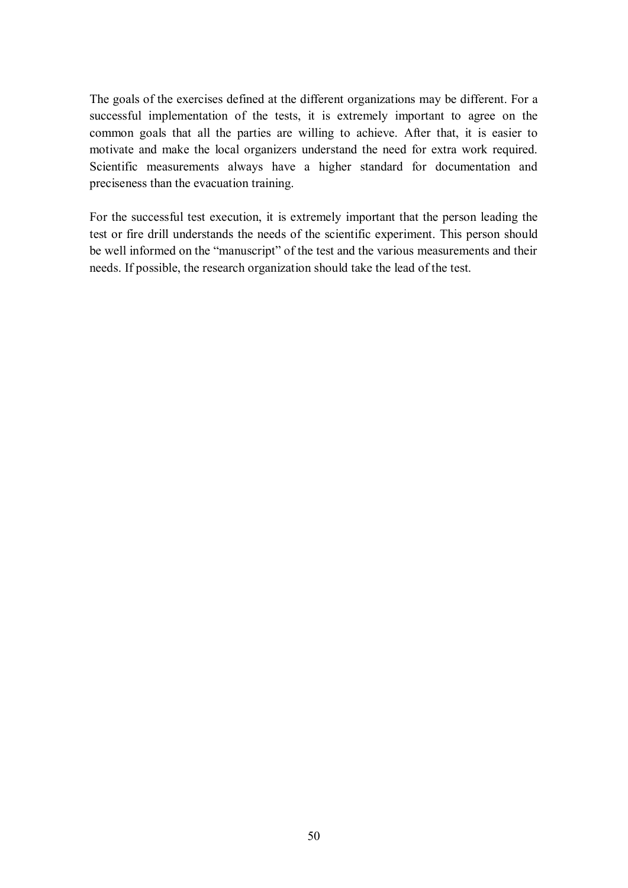The goals of the exercises defined at the different organizations may be different. For a successful implementation of the tests, it is extremely important to agree on the common goals that all the parties are willing to achieve. After that, it is easier to motivate and make the local organizers understand the need for extra work required. Scientific measurements always have a higher standard for documentation and preciseness than the evacuation training.

For the successful test execution, it is extremely important that the person leading the test or fire drill understands the needs of the scientific experiment. This person should be well informed on the "manuscript" of the test and the various measurements and their needs. If possible, the research organization should take the lead of the test.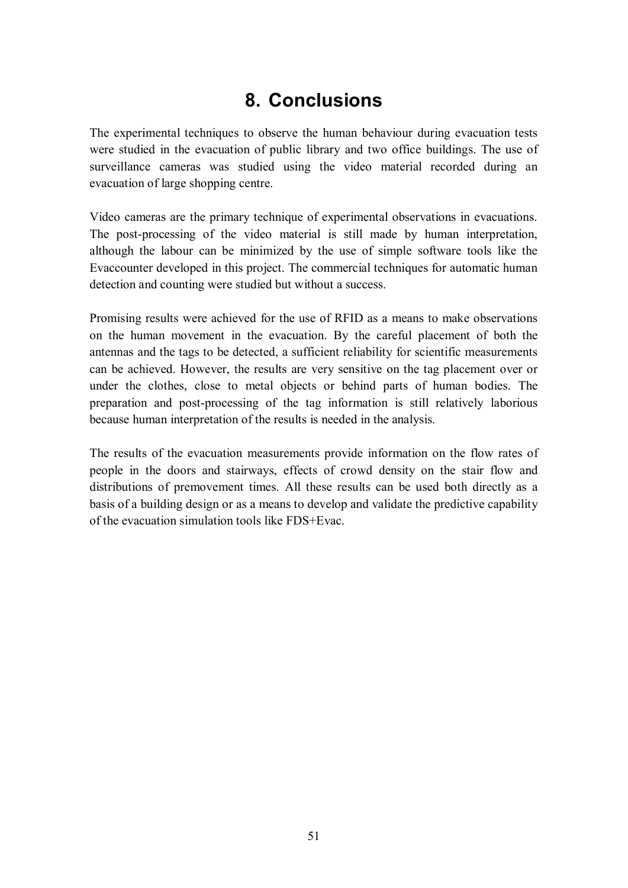## **8. Conclusions**

The experimental techniques to observe the human behaviour during evacuation tests were studied in the evacuation of public library and two office buildings. The use of surveillance cameras was studied using the video material recorded during an evacuation of large shopping centre.

Video cameras are the primary technique of experimental observations in evacuations. The post-processing of the video material is still made by human interpretation, although the labour can be minimized by the use of simple software tools like the Evaccounter developed in this project. The commercial techniques for automatic human detection and counting were studied but without a success.

Promising results were achieved for the use of RFID as a means to make observations on the human movement in the evacuation. By the careful placement of both the antennas and the tags to be detected, a sufficient reliability for scientific measurements can be achieved. However, the results are very sensitive on the tag placement over or under the clothes, close to metal objects or behind parts of human bodies. The preparation and post-processing of the tag information is still relatively laborious because human interpretation of the results is needed in the analysis.

The results of the evacuation measurements provide information on the flow rates of people in the doors and stairways, effects of crowd density on the stair flow and distributions of premovement times. All these results can be used both directly as a basis of a building design or as a means to develop and validate the predictive capability of the evacuation simulation tools like FDS+Evac.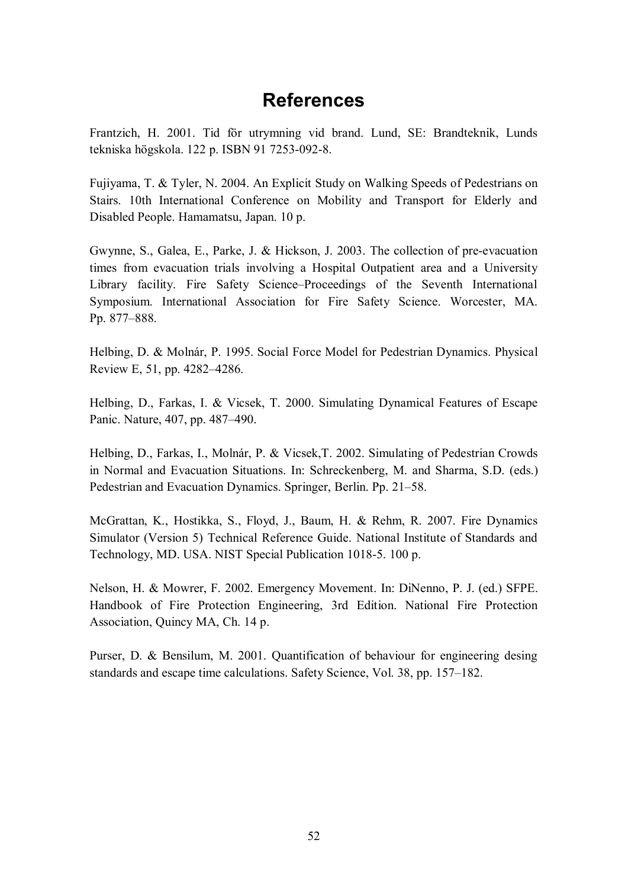## **References**

Frantzich, H. 2001. Tid för utrymning vid brand. Lund, SE: Brandteknik, Lunds tekniska högskola. 122 p. ISBN 91 7253-092-8.

Fujiyama, T. & Tyler, N. 2004. An Explicit Study on Walking Speeds of Pedestrians on Stairs. 10th International Conference on Mobility and Transport for Elderly and Disabled People. Hamamatsu, Japan. 10 p.

Gwynne, S., Galea, E., Parke, J. & Hickson, J. 2003. The collection of pre-evacuation times from evacuation trials involving a Hospital Outpatient area and a University Library facility. Fire Safety Science–Proceedings of the Seventh International Symposium. International Association for Fire Safety Science. Worcester, MA. Pp. 877–888.

Helbing, D. & Molnár, P. 1995. Social Force Model for Pedestrian Dynamics. Physical Review E, 51, pp. 4282–4286.

Helbing, D., Farkas, I. & Vicsek, T. 2000. Simulating Dynamical Features of Escape Panic. Nature, 407, pp. 487–490.

Helbing, D., Farkas, I., Molnár, P. & Vicsek,T. 2002. Simulating of Pedestrian Crowds in Normal and Evacuation Situations. In: Schreckenberg, M. and Sharma, S.D. (eds.) Pedestrian and Evacuation Dynamics. Springer, Berlin. Pp. 21–58.

McGrattan, K., Hostikka, S., Floyd, J., Baum, H. & Rehm, R. 2007. Fire Dynamics Simulator (Version 5) Technical Reference Guide. National Institute of Standards and Technology, MD. USA. NIST Special Publication 1018-5. 100 p.

Nelson, H. & Mowrer, F. 2002. Emergency Movement. In: DiNenno, P. J. (ed.) SFPE. Handbook of Fire Protection Engineering, 3rd Edition. National Fire Protection Association, Quincy MA, Ch. 14 p.

Purser, D. & Bensilum, M. 2001. Quantification of behaviour for engineering desing standards and escape time calculations. Safety Science, Vol. 38, pp. 157–182.